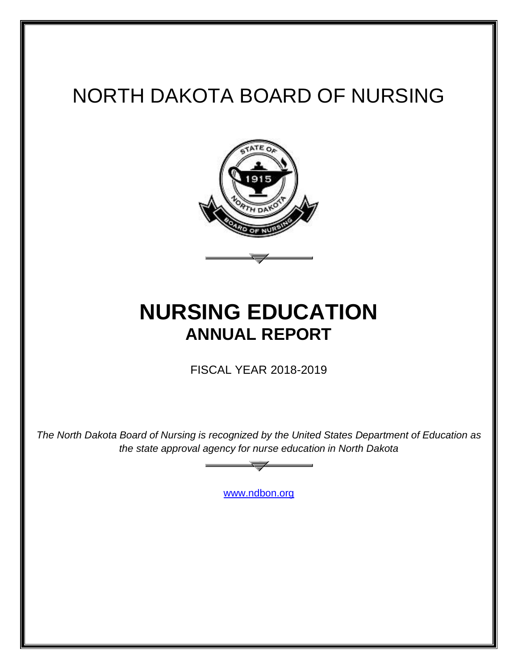# NORTH DAKOTA BOARD OF NURSING



## **NURSING EDUCATION ANNUAL REPORT**

FISCAL YEAR 2018-2019

*The North Dakota Board of Nursing is recognized by the United States Department of Education as the state approval agency for nurse education in North Dakota*

[www.ndbon.org](http://www.ndbon.org/)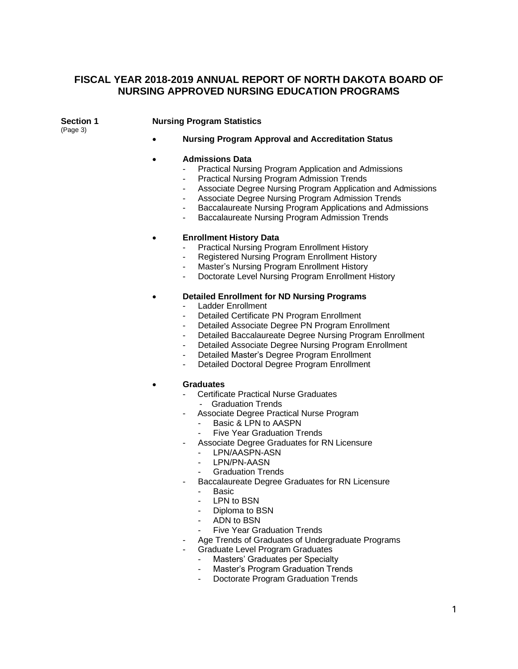### **FISCAL YEAR 2018-2019 ANNUAL REPORT OF NORTH DAKOTA BOARD OF NURSING APPROVED NURSING EDUCATION PROGRAMS**

(Page 3)

### **Section 1 Nursing Program Statistics**

• **Nursing Program Approval and Accreditation Status**

#### • **Admissions Data**

- Practical Nursing Program Application and Admissions
- Practical Nursing Program Admission Trends
- Associate Degree Nursing Program Application and Admissions
- Associate Degree Nursing Program Admission Trends
- Baccalaureate Nursing Program Applications and Admissions
- Baccalaureate Nursing Program Admission Trends

#### • **Enrollment History Data**

- Practical Nursing Program Enrollment History
- Registered Nursing Program Enrollment History
- Master's Nursing Program Enrollment History
- Doctorate Level Nursing Program Enrollment History

#### • **Detailed Enrollment for ND Nursing Programs**

- Ladder Enrollment
- Detailed Certificate PN Program Enrollment
- Detailed Associate Degree PN Program Enrollment
- Detailed Baccalaureate Degree Nursing Program Enrollment
- Detailed Associate Degree Nursing Program Enrollment
- Detailed Master's Degree Program Enrollment
- Detailed Doctoral Degree Program Enrollment

#### • **Graduates**

- Certificate Practical Nurse Graduates
	- Graduation Trends
- Associate Degree Practical Nurse Program
	- Basic & LPN to AASPN
	- **Five Year Graduation Trends**
	- Associate Degree Graduates for RN Licensure
		- LPN/AASPN-ASN
		- LPN/PN-AASN
		- Graduation Trends
- Baccalaureate Degree Graduates for RN Licensure
	- Basic
	- LPN to BSN
	- Diploma to BSN
	- ADN to BSN
	- Five Year Graduation Trends
- Age Trends of Graduates of Undergraduate Programs
- Graduate Level Program Graduates
	- Masters' Graduates per Specialty
	- Master's Program Graduation Trends
	- Doctorate Program Graduation Trends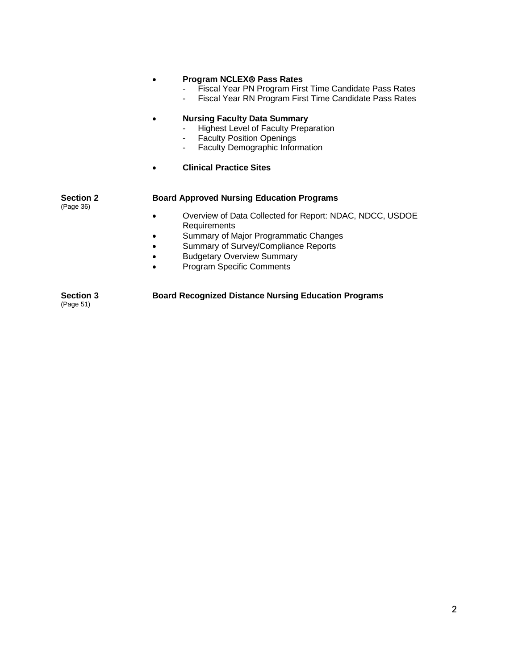### **• Program NCLEX® Pass Rates** Fiscal Year PN Program First Time Candidate Pass Rates - Fiscal Year RN Program First Time Candidate Pass Rates • **Nursing Faculty Data Summary**  - Highest Level of Faculty Preparation<br>- Faculty Position Openings **Faculty Position Openings** - Faculty Demographic Information • **Clinical Practice Sites Section 2 Board Approved Nursing Education Programs** (Page 36) • Overview of Data Collected for Report: NDAC, NDCC, USDOE **Requirements** • Summary of Major Programmatic Changes • Summary of Survey/Compliance Reports • Budgetary Overview Summary • Program Specific Comments

**Section 3 Board Recognized Distance Nursing Education Programs** (Page 51)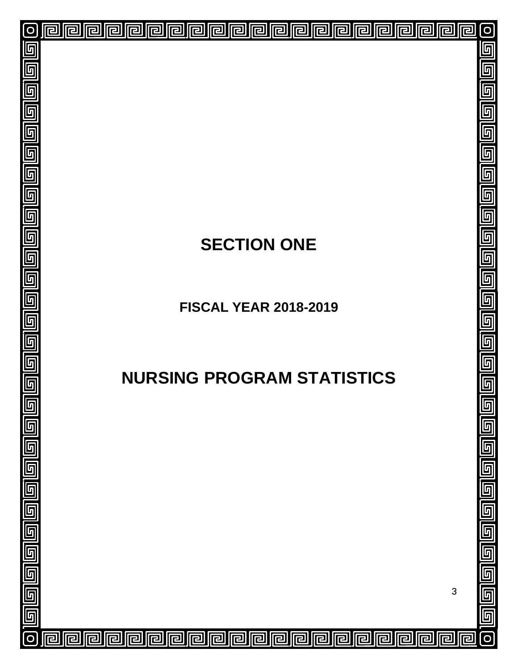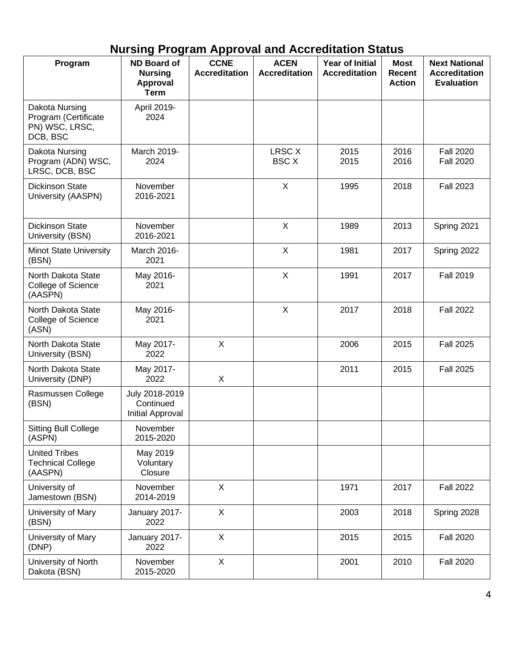## **Nursing Program Approval and Accreditation Status**

| Program                                                              | ND Board of<br><b>Nursing</b><br><b>Approval</b><br><b>Term</b> | <b>CCNE</b><br><b>Accreditation</b> | <b>ACEN</b><br><b>Accreditation</b> | <b>Year of Initial</b><br><b>Accreditation</b> | <b>Most</b><br><b>Recent</b><br><b>Action</b> | <b>Next National</b><br><b>Accreditation</b><br><b>Evaluation</b> |
|----------------------------------------------------------------------|-----------------------------------------------------------------|-------------------------------------|-------------------------------------|------------------------------------------------|-----------------------------------------------|-------------------------------------------------------------------|
| Dakota Nursing<br>Program (Certificate<br>PN) WSC, LRSC,<br>DCB, BSC | April 2019-<br>2024                                             |                                     |                                     |                                                |                                               |                                                                   |
| Dakota Nursing<br>Program (ADN) WSC,<br>LRSC, DCB, BSC               | March 2019-<br>2024                                             |                                     | LRSC X<br><b>BSC X</b>              | 2015<br>2015                                   | 2016<br>2016                                  | <b>Fall 2020</b><br><b>Fall 2020</b>                              |
| <b>Dickinson State</b><br>University (AASPN)                         | November<br>2016-2021                                           |                                     | X                                   | 1995                                           | 2018                                          | <b>Fall 2023</b>                                                  |
| <b>Dickinson State</b><br>University (BSN)                           | November<br>2016-2021                                           |                                     | $\boldsymbol{\mathsf{X}}$           | 1989                                           | 2013                                          | Spring 2021                                                       |
| <b>Minot State University</b><br>(BSN)                               | March 2016-<br>2021                                             |                                     | X                                   | 1981                                           | 2017                                          | Spring 2022                                                       |
| North Dakota State<br>College of Science<br>(AASPN)                  | May 2016-<br>2021                                               |                                     | X                                   | 1991                                           | 2017                                          | <b>Fall 2019</b>                                                  |
| North Dakota State<br>College of Science<br>(ASN)                    | May 2016-<br>2021                                               |                                     | X                                   | 2017                                           | 2018                                          | <b>Fall 2022</b>                                                  |
| North Dakota State<br>University (BSN)                               | May 2017-<br>2022                                               | X                                   |                                     | 2006                                           | 2015                                          | <b>Fall 2025</b>                                                  |
| North Dakota State<br>University (DNP)                               | May 2017-<br>2022                                               | X                                   |                                     | 2011                                           | 2015                                          | <b>Fall 2025</b>                                                  |
| Rasmussen College<br>(BSN)                                           | July 2018-2019<br>Continued<br><b>Initial Approval</b>          |                                     |                                     |                                                |                                               |                                                                   |
| <b>Sitting Bull College</b><br>(ASPN)                                | November<br>2015-2020                                           |                                     |                                     |                                                |                                               |                                                                   |
| <b>United Tribes</b><br><b>Technical College</b><br>(AASPN)          | May 2019<br>Voluntary<br>Closure                                |                                     |                                     |                                                |                                               |                                                                   |
| University of<br>Jamestown (BSN)                                     | November<br>2014-2019                                           | X                                   |                                     | 1971                                           | 2017                                          | <b>Fall 2022</b>                                                  |
| University of Mary<br>(BSN)                                          | January 2017-<br>2022                                           | X                                   |                                     | 2003                                           | 2018                                          | Spring 2028                                                       |
| University of Mary<br>(DNP)                                          | January 2017-<br>2022                                           | X                                   |                                     | 2015                                           | 2015                                          | <b>Fall 2020</b>                                                  |
| University of North<br>Dakota (BSN)                                  | November<br>2015-2020                                           | X                                   |                                     | 2001                                           | 2010                                          | <b>Fall 2020</b>                                                  |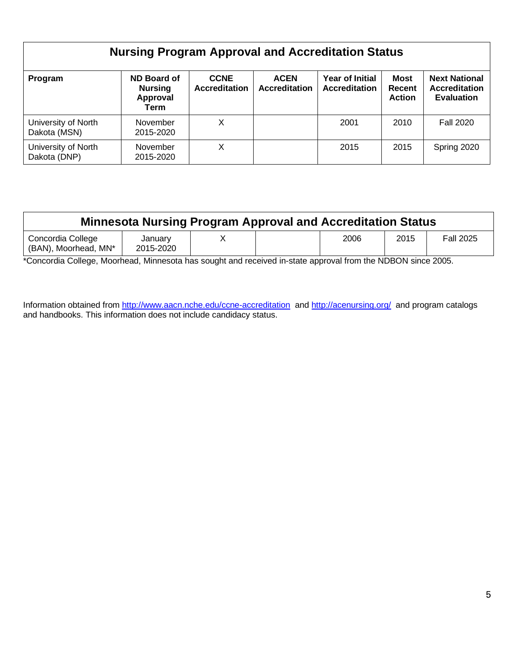| <b>Nursing Program Approval and Accreditation Status</b> |                                                   |                                     |                                     |                                                |                                        |                                                                   |  |  |  |
|----------------------------------------------------------|---------------------------------------------------|-------------------------------------|-------------------------------------|------------------------------------------------|----------------------------------------|-------------------------------------------------------------------|--|--|--|
| Program                                                  | ND Board of<br><b>Nursing</b><br>Approval<br>Term | <b>CCNE</b><br><b>Accreditation</b> | <b>ACEN</b><br><b>Accreditation</b> | <b>Year of Initial</b><br><b>Accreditation</b> | <b>Most</b><br>Recent<br><b>Action</b> | <b>Next National</b><br><b>Accreditation</b><br><b>Evaluation</b> |  |  |  |
| University of North<br>Dakota (MSN)                      | November<br>2015-2020                             | X                                   |                                     | 2001                                           | 2010                                   | <b>Fall 2020</b>                                                  |  |  |  |
| University of North<br>Dakota (DNP)                      | November<br>2015-2020                             | X                                   |                                     | 2015                                           | 2015                                   | Spring 2020                                                       |  |  |  |

| <b>Minnesota Nursing Program Approval and Accreditation Status</b> |                      |  |  |      |      |                  |  |  |
|--------------------------------------------------------------------|----------------------|--|--|------|------|------------------|--|--|
| Concordia College<br>(BAN), Moorhead, MN*                          | January<br>2015-2020 |  |  | 2006 | 2015 | <b>Fall 2025</b> |  |  |

\*Concordia College, Moorhead, Minnesota has sought and received in-state approval from the NDBON since 2005.

Information obtained from<http://www.aacn.nche.edu/ccne-accreditation>and<http://acenursing.org/>and program catalogs and handbooks. This information does not include candidacy status.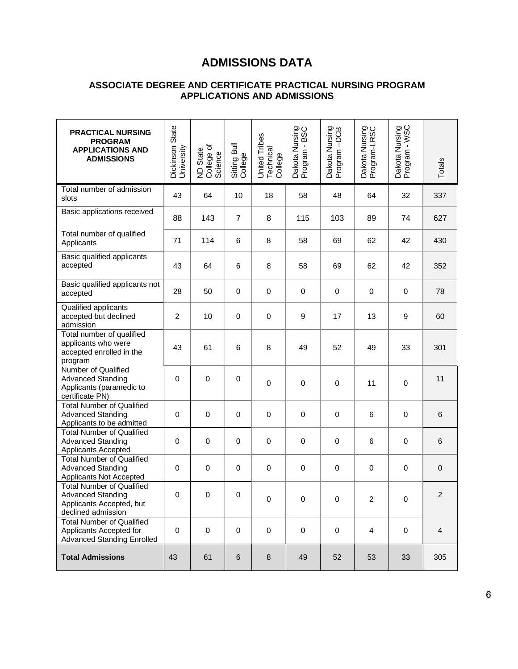### **ADMISSIONS DATA**

### **ASSOCIATE DEGREE AND CERTIFICATE PRACTICAL NURSING PROGRAM APPLICATIONS AND ADMISSIONS**

| <b>PRACTICAL NURSING</b><br><b>PROGRAM</b><br><b>APPLICATIONS AND</b><br><b>ADMISSIONS</b>                     | Dickinson State<br>University | ND State<br>College of<br>Science | Sitting Bull<br>College | United Tribes<br>Technical<br>College | Dakota Nursing<br>Program - BSC | Dakota Nursing<br>Program -DCB | Dakota Nursing<br>Program-LRSC | Dakota Nursing<br>Program - WSC | Totals         |
|----------------------------------------------------------------------------------------------------------------|-------------------------------|-----------------------------------|-------------------------|---------------------------------------|---------------------------------|--------------------------------|--------------------------------|---------------------------------|----------------|
| Total number of admission<br>slots                                                                             | 43                            | 64                                | 10                      | 18                                    | 58                              | 48                             | 64                             | 32                              | 337            |
| Basic applications received                                                                                    | 88                            | 143                               | $\overline{7}$          | 8                                     | 115                             | 103                            | 89                             | 74                              | 627            |
| Total number of qualified<br>Applicants                                                                        | 71                            | 114                               | 6                       | 8                                     | 58                              | 69                             | 62                             | 42                              | 430            |
| Basic qualified applicants<br>accepted                                                                         | 43                            | 64                                | 6                       | 8                                     | 58                              | 69                             | 62                             | 42                              | 352            |
| Basic qualified applicants not<br>accepted                                                                     | 28                            | 50                                | $\mathbf 0$             | $\boldsymbol{0}$                      | $\pmb{0}$                       | $\pmb{0}$                      | $\mathbf 0$                    | $\pmb{0}$                       | 78             |
| Qualified applicants<br>accepted but declined<br>admission                                                     | $\overline{c}$                | 10                                | $\mathbf 0$             | 0                                     | 9                               | 17                             | 13                             | 9                               | 60             |
| Total number of qualified<br>applicants who were<br>accepted enrolled in the<br>program                        | 43                            | 61                                | 6                       | 8                                     | 49                              | 52                             | 49                             | 33                              | 301            |
| Number of Qualified<br><b>Advanced Standing</b><br>Applicants (paramedic to<br>certificate PN)                 | 0                             | 0                                 | $\mathbf 0$             | 0                                     | $\mathbf 0$                     | $\mathbf 0$                    | 11                             | $\mathbf 0$                     | 11             |
| <b>Total Number of Qualified</b><br><b>Advanced Standing</b><br>Applicants to be admitted                      | 0                             | 0                                 | $\mathbf 0$             | 0                                     | $\mathbf 0$                     | 0                              | 6                              | $\mathbf 0$                     | 6              |
| <b>Total Number of Qualified</b><br><b>Advanced Standing</b><br>Applicants Accepted                            | $\mathbf 0$                   | 0                                 | $\mathbf 0$             | $\boldsymbol{0}$                      | $\pmb{0}$                       | $\mathsf 0$                    | 6                              | $\pmb{0}$                       | 6              |
| <b>Total Number of Qualified</b><br><b>Advanced Standing</b><br>Applicants Not Accepted                        | $\mathbf 0$                   | 0                                 | $\mathbf 0$             | $\boldsymbol{0}$                      | $\pmb{0}$                       | $\mathsf 0$                    | 0                              | $\mathbf 0$                     | $\pmb{0}$      |
| <b>Total Number of Qualified</b><br><b>Advanced Standing</b><br>Applicants Accepted, but<br>declined admission | 0                             | 0                                 | $\mathbf 0$             | $\pmb{0}$                             | $\pmb{0}$                       | $\pmb{0}$                      | $\overline{c}$                 | $\mathbf 0$                     | 2              |
| <b>Total Number of Qualified</b><br>Applicants Accepted for<br><b>Advanced Standing Enrolled</b>               | 0                             | 0                                 | $\mathbf 0$             | 0                                     | $\mathbf 0$                     | 0                              | $\overline{4}$                 | 0                               | $\overline{4}$ |
| <b>Total Admissions</b>                                                                                        | 43                            | 61                                | 6                       | 8                                     | 49                              | 52                             | 53                             | 33                              | 305            |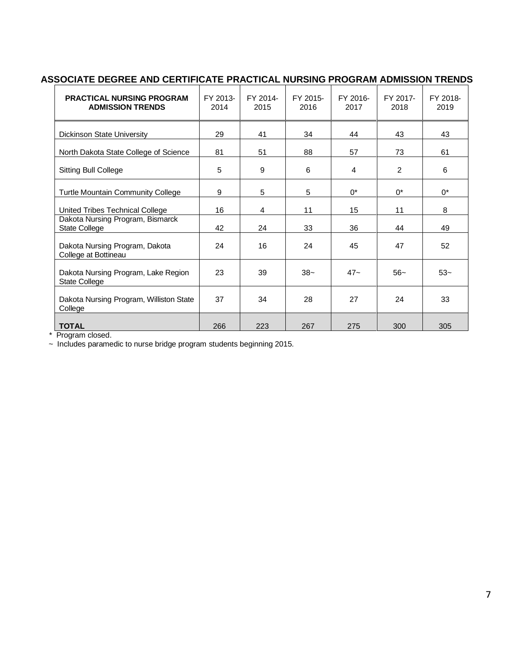### **ASSOCIATE DEGREE AND CERTIFICATE PRACTICAL NURSING PROGRAM ADMISSION TRENDS**

| <b>PRACTICAL NURSING PROGRAM</b><br><b>ADMISSION TRENDS</b> | FY 2013-<br>2014 | FY 2014-<br>2015 | FY 2015-<br>2016 | FY 2016-<br>2017 | FY 2017-<br>2018 | FY 2018-<br>2019 |
|-------------------------------------------------------------|------------------|------------------|------------------|------------------|------------------|------------------|
| Dickinson State University                                  | 29               | 41               | 34               | 44               | 43               | 43               |
| North Dakota State College of Science                       | 81               | 51               | 88               | 57               | 73               | 61               |
| <b>Sitting Bull College</b>                                 | 5                | 9                | 6                | 4                | 2                | 6                |
| <b>Turtle Mountain Community College</b>                    | 9                | 5                | 5                | $0^*$            | $0^*$            | $0^*$            |
| United Tribes Technical College                             | 16               | 4                | 11               | 15               | 11               | 8                |
| Dakota Nursing Program, Bismarck<br><b>State College</b>    | 42               | 24               | 33               | 36               | 44               | 49               |
| Dakota Nursing Program, Dakota<br>College at Bottineau      | 24               | 16               | 24               | 45               | 47               | 52               |
| Dakota Nursing Program, Lake Region<br><b>State College</b> | 23               | 39               | $38-$            | $47 -$           | $56-$            | $53-$            |
| Dakota Nursing Program, Williston State<br>College          | 37               | 34               | 28               | 27               | 24               | 33               |
| <b>TOTAL</b>                                                | 266              | 223              | 267              | 275              | 300              | 305              |

\* Program closed.

~ Includes paramedic to nurse bridge program students beginning 2015.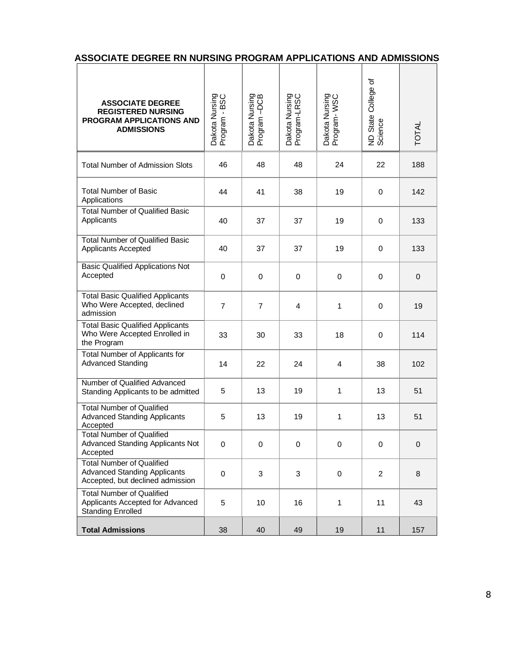| <b>ASSOCIATE DEGREE</b><br><b>REGISTERED NURSING</b><br>PROGRAM APPLICATIONS AND<br><b>ADMISSIONS</b>       | Dakota Nursing<br>Program - BSC | Dakota Nursing<br>Program -DCB | Dakota Nursing<br>Program-LRSC | Dakota Nursing<br>Program-WSC | ৳<br>State College<br>ND State<br>Science | <b>TOTAL</b> |
|-------------------------------------------------------------------------------------------------------------|---------------------------------|--------------------------------|--------------------------------|-------------------------------|-------------------------------------------|--------------|
| <b>Total Number of Admission Slots</b>                                                                      | 46                              | 48                             | 48                             | 24                            | 22                                        | 188          |
| <b>Total Number of Basic</b><br>Applications                                                                | 44                              | 41                             | 38                             | 19                            | $\mathbf 0$                               | 142          |
| <b>Total Number of Qualified Basic</b><br>Applicants                                                        | 40                              | 37                             | 37                             | 19                            | $\mathbf 0$                               | 133          |
| <b>Total Number of Qualified Basic</b><br><b>Applicants Accepted</b>                                        | 40                              | 37                             | 37                             | 19                            | 0                                         | 133          |
| <b>Basic Qualified Applications Not</b><br>Accepted                                                         | $\mathbf 0$                     | $\mathbf 0$                    | $\mathbf 0$                    | 0                             | 0                                         | 0            |
| <b>Total Basic Qualified Applicants</b><br>Who Were Accepted, declined<br>admission                         | $\overline{7}$                  | $\overline{7}$                 | 4                              | 1                             | $\mathbf 0$                               | 19           |
| <b>Total Basic Qualified Applicants</b><br>Who Were Accepted Enrolled in<br>the Program                     | 33                              | 30                             | 33                             | 18                            | 0                                         | 114          |
| Total Number of Applicants for<br><b>Advanced Standing</b>                                                  | 14                              | 22                             | 24                             | $\overline{4}$                | 38                                        | 102          |
| Number of Qualified Advanced<br>Standing Applicants to be admitted                                          | 5                               | 13                             | 19                             | 1                             | 13                                        | 51           |
| <b>Total Number of Qualified</b><br><b>Advanced Standing Applicants</b><br>Accepted                         | 5                               | 13                             | 19                             | 1                             | 13                                        | 51           |
| <b>Total Number of Qualified</b><br><b>Advanced Standing Applicants Not</b><br>Accepted                     | 0                               | 0                              | 0                              | 0                             | 0                                         | 0            |
| <b>Total Number of Qualified</b><br><b>Advanced Standing Applicants</b><br>Accepted, but declined admission | $\mathbf 0$                     | 3                              | 3                              | $\mathbf 0$                   | $\overline{2}$                            | 8            |
| <b>Total Number of Qualified</b><br>Applicants Accepted for Advanced<br><b>Standing Enrolled</b>            | 5                               | 10                             | 16                             | $\mathbf{1}$                  | 11                                        | 43           |
| <b>Total Admissions</b>                                                                                     | 38                              | 40                             | 49                             | 19                            | 11                                        | 157          |

### **ASSOCIATE DEGREE RN NURSING PROGRAM APPLICATIONS AND ADMISSIONS**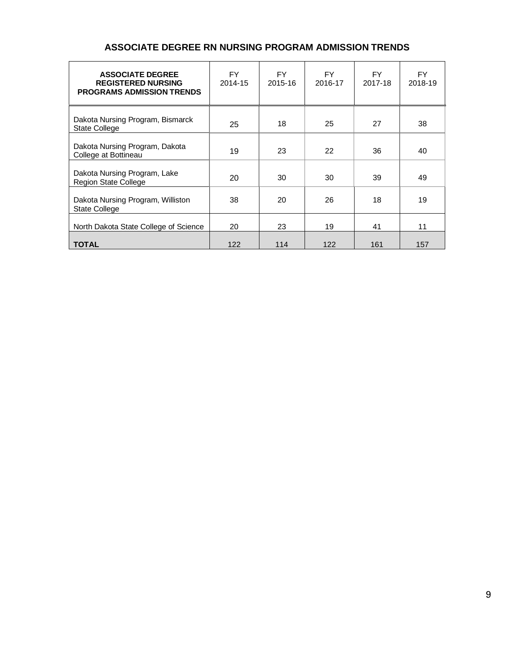### **ASSOCIATE DEGREE RN NURSING PROGRAM ADMISSION TRENDS**

| <b>ASSOCIATE DEGREE</b><br><b>REGISTERED NURSING</b><br><b>PROGRAMS ADMISSION TRENDS</b> | FY.<br>2014-15 | FY.<br>2015-16 | <b>FY</b><br>2016-17 | FY.<br>2017-18 | FY.<br>2018-19 |
|------------------------------------------------------------------------------------------|----------------|----------------|----------------------|----------------|----------------|
| Dakota Nursing Program, Bismarck<br><b>State College</b>                                 | 25             | 18             | 25                   | 27             | 38             |
| Dakota Nursing Program, Dakota<br>College at Bottineau                                   | 19             | 23             | 22                   | 36             | 40             |
| Dakota Nursing Program, Lake<br><b>Region State College</b>                              | 20             | 30             | 30                   | 39             | 49             |
| Dakota Nursing Program, Williston<br><b>State College</b>                                | 38             | 20             | 26                   | 18             | 19             |
| North Dakota State College of Science                                                    | 20             | 23             | 19                   | 41             | 11             |
| <b>TOTAL</b>                                                                             | 122            | 114            | 122                  | 161            | 157            |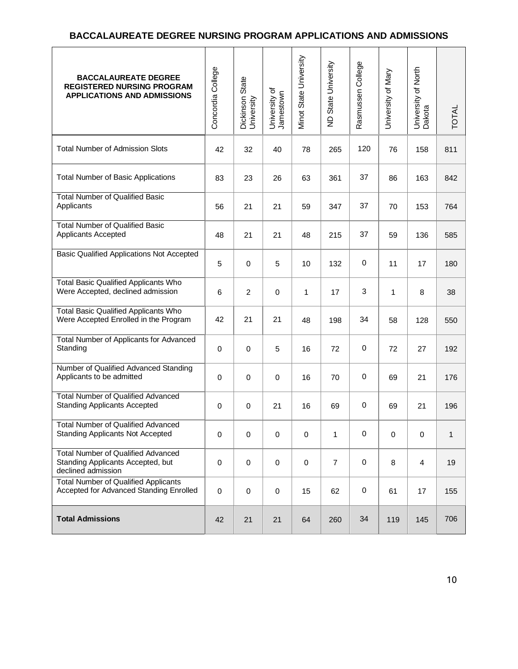### **BACCALAUREATE DEGREE NURSING PROGRAM APPLICATIONS AND ADMISSIONS**

| <b>BACCALAUREATE DEGREE</b><br><b>REGISTERED NURSING PROGRAM</b><br><b>APPLICATIONS AND ADMISSIONS</b> | Concordia College | Dickinson State<br>University | University of<br>Jamestown | Minot State University | ND State University | Rasmussen College | University of Mary | University of North<br>Dakota | <b>TOTAL</b> |
|--------------------------------------------------------------------------------------------------------|-------------------|-------------------------------|----------------------------|------------------------|---------------------|-------------------|--------------------|-------------------------------|--------------|
| <b>Total Number of Admission Slots</b>                                                                 | 42                | 32                            | 40                         | 78                     | 265                 | 120               | 76                 | 158                           | 811          |
| <b>Total Number of Basic Applications</b>                                                              | 83                | 23                            | 26                         | 63                     | 361                 | 37                | 86                 | 163                           | 842          |
| <b>Total Number of Qualified Basic</b><br>Applicants                                                   | 56                | 21                            | 21                         | 59                     | 347                 | 37                | 70                 | 153                           | 764          |
| <b>Total Number of Qualified Basic</b><br>Applicants Accepted                                          | 48                | 21                            | 21                         | 48                     | 215                 | 37                | 59                 | 136                           | 585          |
| <b>Basic Qualified Applications Not Accepted</b>                                                       | 5                 | $\mathbf 0$                   | 5                          | 10                     | 132                 | $\mathbf 0$       | 11                 | 17                            | 180          |
| <b>Total Basic Qualified Applicants Who</b><br>Were Accepted, declined admission                       | 6                 | $\overline{2}$                | $\mathbf 0$                | 1                      | 17                  | 3                 | 1                  | 8                             | 38           |
| <b>Total Basic Qualified Applicants Who</b><br>Were Accepted Enrolled in the Program                   | 42                | 21                            | 21                         | 48                     | 198                 | 34                | 58                 | 128                           | 550          |
| <b>Total Number of Applicants for Advanced</b><br>Standing                                             | 0                 | $\pmb{0}$                     | 5                          | 16                     | 72                  | 0                 | 72                 | 27                            | 192          |
| Number of Qualified Advanced Standing<br>Applicants to be admitted                                     | 0                 | $\mathbf 0$                   | $\mathbf 0$                | 16                     | 70                  | 0                 | 69                 | 21                            | 176          |
| <b>Total Number of Qualified Advanced</b><br><b>Standing Applicants Accepted</b>                       | 0                 | $\mathbf 0$                   | 21                         | 16                     | 69                  | 0                 | 69                 | 21                            | 196          |
| <b>Total Number of Qualified Advanced</b><br><b>Standing Applicants Not Accepted</b>                   | $\pmb{0}$         | $\mathbf 0$                   | $\mathbf 0$                | $\pmb{0}$              | 1                   | 0                 | $\pmb{0}$          | $\mathbf 0$                   | 1            |
| <b>Total Number of Qualified Advanced</b><br>Standing Applicants Accepted, but<br>declined admission   | 0                 | $\mathbf 0$                   | $\mathbf 0$                | 0                      | $\overline{7}$      | 0                 | 8                  | $\overline{4}$                | 19           |
| <b>Total Number of Qualified Applicants</b><br>Accepted for Advanced Standing Enrolled                 | 0                 | $\pmb{0}$                     | $\pmb{0}$                  | 15                     | 62                  | $\pmb{0}$         | 61                 | 17                            | 155          |
| <b>Total Admissions</b>                                                                                | 42                | 21                            | 21                         | 64                     | 260                 | 34                | 119                | 145                           | 706          |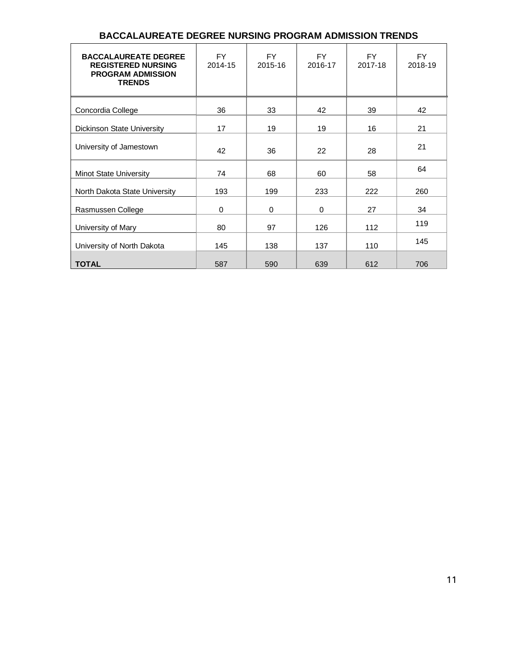| <b>BACCALAUREATE DEGREE</b><br><b>REGISTERED NURSING</b><br><b>PROGRAM ADMISSION</b><br><b>TRENDS</b> | <b>FY</b><br>2014-15 | <b>FY</b><br>2015-16 | <b>FY</b><br>2016-17 | <b>FY</b><br>2017-18 | FY.<br>2018-19 |
|-------------------------------------------------------------------------------------------------------|----------------------|----------------------|----------------------|----------------------|----------------|
| Concordia College                                                                                     | 36                   | 33                   | 42                   | 39                   | 42             |
| Dickinson State University                                                                            | 17                   | 19                   | 19                   | 16                   | 21             |
| University of Jamestown                                                                               | 42                   | 36                   | 22                   | 28                   | 21             |
| <b>Minot State University</b>                                                                         | 74                   | 68                   | 60                   | 58                   | 64             |
| North Dakota State University                                                                         | 193                  | 199                  | 233                  | 222                  | 260            |
| Rasmussen College                                                                                     | 0                    | 0                    | 0                    | 27                   | 34             |
| University of Mary                                                                                    | 80                   | 97                   | 126                  | 112                  | 119            |
| University of North Dakota                                                                            | 145                  | 138                  | 137                  | 110                  | 145            |
| <b>TOTAL</b>                                                                                          | 587                  | 590                  | 639                  | 612                  | 706            |

### **BACCALAUREATE DEGREE NURSING PROGRAM ADMISSION TRENDS**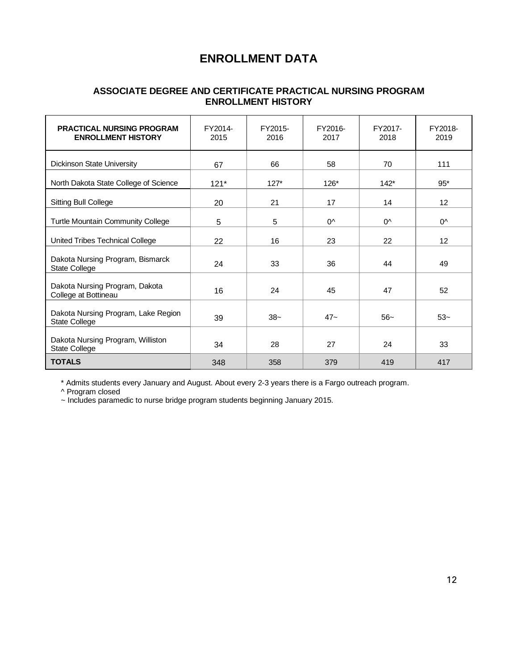### **ENROLLMENT DATA**

### **ASSOCIATE DEGREE AND CERTIFICATE PRACTICAL NURSING PROGRAM ENROLLMENT HISTORY**

| <b>PRACTICAL NURSING PROGRAM</b><br><b>ENROLLMENT HISTORY</b> | FY2014-<br>2015 | FY2015-<br>2016 | FY2016-<br>2017 | FY2017-<br>2018 | FY2018-<br>2019 |
|---------------------------------------------------------------|-----------------|-----------------|-----------------|-----------------|-----------------|
| <b>Dickinson State University</b>                             | 67              | 66              | 58              | 70              | 111             |
| North Dakota State College of Science                         | $121*$          | $127*$          | $126*$          | $142*$          | $95*$           |
| <b>Sitting Bull College</b>                                   | 20              | 21              | 17              | 14              | 12 <sup>°</sup> |
| Turtle Mountain Community College                             | 5               | 5               | $0^{\wedge}$    | $0^{\wedge}$    | $0^{\wedge}$    |
| United Tribes Technical College                               | 22              | 16              | 23              | 22              | 12              |
| Dakota Nursing Program, Bismarck<br>State College             | 24              | 33              | 36              | 44              | 49              |
| Dakota Nursing Program, Dakota<br>College at Bottineau        | 16              | 24              | 45              | 47              | 52              |
| Dakota Nursing Program, Lake Region<br>State College          | 39              | $38-$           | $47 -$          | $56-$           | $53-$           |
| Dakota Nursing Program, Williston<br>State College            | 34              | 28              | 27              | 24              | 33              |
| <b>TOTALS</b>                                                 | 348             | 358             | 379             | 419             | 417             |

\* Admits students every January and August. About every 2-3 years there is a Fargo outreach program.

^ Program closed

~ Includes paramedic to nurse bridge program students beginning January 2015.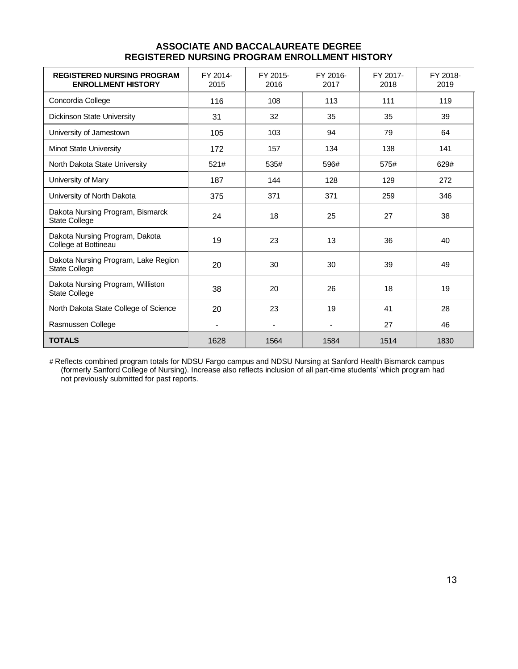| <b>REGISTERED NURSING PROGRAM</b><br><b>ENROLLMENT HISTORY</b> | FY 2014-<br>2015 | FY 2015-<br>2016         | FY 2016-<br>2017 | FY 2017-<br>2018 | FY 2018-<br>2019 |
|----------------------------------------------------------------|------------------|--------------------------|------------------|------------------|------------------|
| Concordia College                                              | 116              | 108                      | 113              | 111              | 119              |
| Dickinson State University                                     | 31               | 32                       | 35               | 35               | 39               |
| University of Jamestown                                        | 105              | 103                      | 94               | 79               | 64               |
| <b>Minot State University</b>                                  | 172              | 157                      | 134              | 138              | 141              |
| North Dakota State University                                  | 521#             | 535#                     | 596#             | 575#             | 629#             |
| University of Mary                                             | 187              | 144                      | 128              | 129              | 272              |
| University of North Dakota                                     | 375              | 371                      | 371              | 259              | 346              |
| Dakota Nursing Program, Bismarck<br><b>State College</b>       | 24               | 18                       | 25               | 27               | 38               |
| Dakota Nursing Program, Dakota<br>College at Bottineau         | 19               | 23                       | 13               | 36               | 40               |
| Dakota Nursing Program, Lake Region<br><b>State College</b>    | 20               | 30                       | 30               | 39               | 49               |
| Dakota Nursing Program, Williston<br><b>State College</b>      | 38               | 20                       | 26               | 18               | 19               |
| North Dakota State College of Science                          | 20               | 23                       | 19               | 41               | 28               |
| Rasmussen College                                              | $\blacksquare$   | $\overline{\phantom{a}}$ | $\blacksquare$   | 27               | 46               |
| <b>TOTALS</b>                                                  | 1628             | 1564                     | 1584             | 1514             | 1830             |

### **ASSOCIATE AND BACCALAUREATE DEGREE REGISTERED NURSING PROGRAM ENROLLMENT HISTORY**

# Reflects combined program totals for NDSU Fargo campus and NDSU Nursing at Sanford Health Bismarck campus (formerly Sanford College of Nursing). Increase also reflects inclusion of all part-time students' which program had not previously submitted for past reports.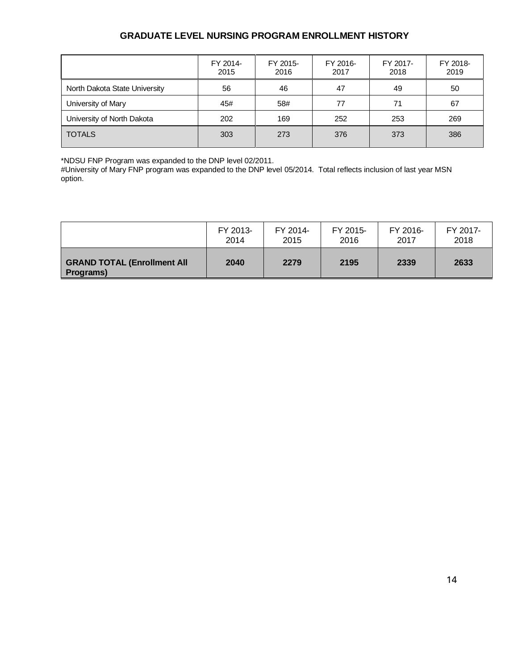### **GRADUATE LEVEL NURSING PROGRAM ENROLLMENT HISTORY**

|                               | FY 2014-<br>2015 | FY 2015-<br>2016 | FY 2016-<br>2017 | FY 2017-<br>2018 | FY 2018-<br>2019 |
|-------------------------------|------------------|------------------|------------------|------------------|------------------|
| North Dakota State University | 56               | 46               | 47               | 49               | 50               |
| University of Mary            | 45#              | 58#              | 77               | 71               | 67               |
| University of North Dakota    | 202              | 169              | 252              | 253              | 269              |
| <b>TOTALS</b>                 | 303              | 273              | 376              | 373              | 386              |

\*NDSU FNP Program was expanded to the DNP level 02/2011.

#University of Mary FNP program was expanded to the DNP level 05/2014. Total reflects inclusion of last year MSN option.

|                                                 | FY 2013- | FY 2014- | FY 2015- | FY 2016- | FY 2017- |
|-------------------------------------------------|----------|----------|----------|----------|----------|
|                                                 | 2014     | 2015     | 2016     | 2017     | 2018     |
| <b>GRAND TOTAL (Enrollment All</b><br>Programs) | 2040     | 2279     | 2195     | 2339     | 2633     |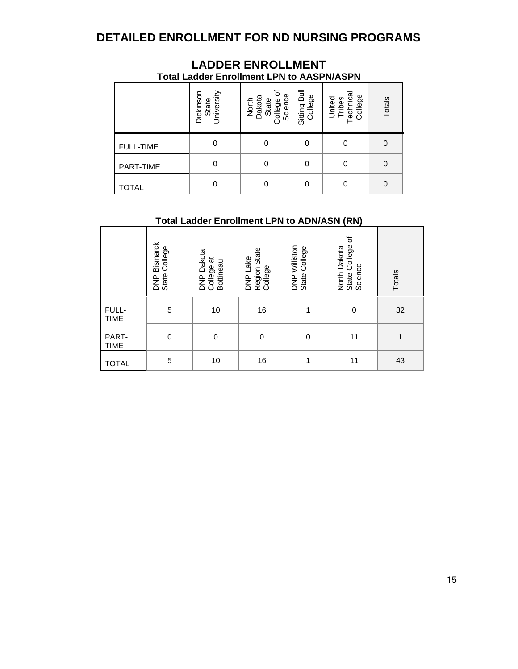### **DETAILED ENROLLMENT FOR ND NURSING PROGRAMS**

|                  |                                  | <b>Total Ladder Enrollment LPN to AASPN/ASPN</b>       |                         |                                          |        |
|------------------|----------------------------------|--------------------------------------------------------|-------------------------|------------------------------------------|--------|
|                  | Dickinson<br>State<br>University | ৳<br>North<br>Dakota<br>State<br>College of<br>Science | Sitting Bull<br>College | United<br>Tribes<br>Technical<br>College | Totals |
| <b>FULL-TIME</b> | 0                                |                                                        |                         | 0                                        | 0      |
| PART-TIME        | 0                                |                                                        |                         | 0                                        | 0      |
| TOTAL            |                                  |                                                        |                         | 0                                        | 0      |

# **LADDER ENROLLMENT**

### **Total Ladder Enrollment LPN to ADN/ASN (RN)**

|                      | Bismarck<br>State College<br><b>P</b><br>BNP | DNP Dakota<br>College at<br>Bottineau | Region State<br>College<br>DNP Lake | DNP Williston<br>State College | $\Delta$<br>State College<br>North Dakota<br>Science | Totals       |
|----------------------|----------------------------------------------|---------------------------------------|-------------------------------------|--------------------------------|------------------------------------------------------|--------------|
| FULL-<br><b>TIME</b> | 5                                            | 10                                    | 16                                  |                                | $\mathbf 0$                                          | 32           |
| PART-<br><b>TIME</b> | 0                                            | $\mathbf 0$                           | $\mathbf 0$                         | $\mathbf 0$                    | 11                                                   | $\mathbf{1}$ |
| <b>TOTAL</b>         | $\mathbf 5$                                  | 10                                    | 16                                  | $\mathbf{1}$                   | 11                                                   | 43           |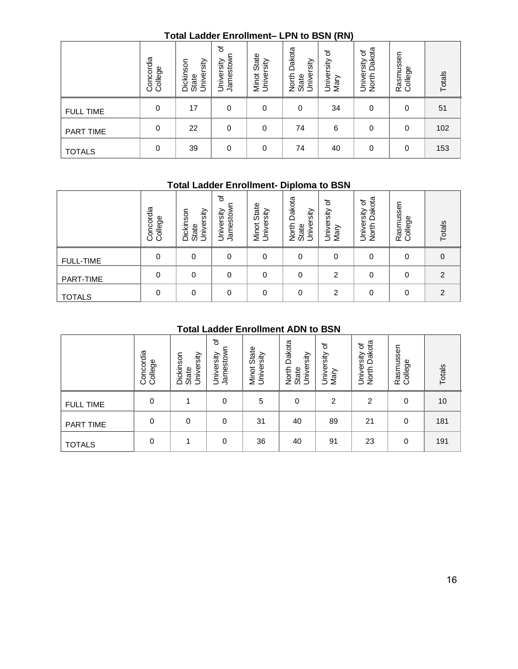### **Total Ladder Enrollment– LPN to BSN (RN)**

|                  | Concordia<br>College | University<br>Dickinson<br>State | đ<br>Jamestown<br>University | State<br>Minot Stat<br>University | Dakota<br>State<br>University<br>North | ৳<br>University<br>Mary | Dakota<br>৳<br>University<br>North Dako | Rasmussen<br>College | Totals |
|------------------|----------------------|----------------------------------|------------------------------|-----------------------------------|----------------------------------------|-------------------------|-----------------------------------------|----------------------|--------|
| <b>FULL TIME</b> | 0                    | 17                               | 0                            | 0                                 | 0                                      | 34                      | 0                                       | 0                    | 51     |
| PART TIME        | 0                    | 22                               | 0                            | 0                                 | 74                                     | 6                       | 0                                       | 0                    | 102    |
| <b>TOTALS</b>    | 0                    | 39                               | 0                            | 0                                 | 74                                     | 40                      | 0                                       | 0                    | 153    |

### **Total Ladder Enrollment- Diploma to BSN**

|                  | Concordia<br>College | University<br>Dickinson<br>State | ৳<br>Jamestow<br>University | State<br>sity<br>Φ<br>Minot<br>Unive | Dakota<br>rsity<br>lnivel<br>North<br>State<br>⊃ | ৳<br>University<br>Mary | cta<br>৳<br>sity<br>වි<br>Univers<br>North | Rasmusse<br>College | Totals         |
|------------------|----------------------|----------------------------------|-----------------------------|--------------------------------------|--------------------------------------------------|-------------------------|--------------------------------------------|---------------------|----------------|
| <b>FULL-TIME</b> |                      | $\Omega$                         | 0                           | 0                                    |                                                  | 0                       | 0                                          | 0                   | 0              |
| PART-TIME        | $\Omega$             | $\Omega$                         |                             | 0                                    |                                                  | $\overline{2}$          | 0                                          | 0                   | $\overline{2}$ |
| <b>TOTALS</b>    | 0                    | $\Omega$                         |                             | 0                                    |                                                  | 2                       | 0                                          | 0                   | $\mathcal{P}$  |

### **Total Ladder Enrollment ADN to BSN**

|                  | Concordia<br>College | University<br>Dickinson<br>State | ৳<br>Jamestown<br>University | Minot State<br>University | Dakota<br>University<br>North I<br>State  | University of<br>Mary | North Dakota<br>University of | Rasmussen<br>College | Totals         |
|------------------|----------------------|----------------------------------|------------------------------|---------------------------|-------------------------------------------|-----------------------|-------------------------------|----------------------|----------------|
| <b>FULL-TIME</b> | $\boldsymbol{0}$     | 0                                | $\boldsymbol{0}$             | $\boldsymbol{0}$          | $\mathbf 0$                               | $\pmb{0}$             | $\pmb{0}$                     | $\mathbf 0$          | $\mathbf 0$    |
| PART-TIME        | $\mathbf 0$          | $\mathbf 0$                      | $\mathbf 0$                  | $\mathbf 0$               | $\mathbf 0$                               | $\overline{2}$        | $\mathbf 0$                   | $\mathbf 0$          | $\overline{c}$ |
| <b>TOTALS</b>    | $\mathbf 0$          | $\mathbf 0$                      | 0                            | 0                         | 0                                         | $\overline{c}$        | 0                             | 0                    | $\overline{c}$ |
|                  |                      |                                  |                              |                           | <b>Total Ladder Enrollment ADN to BSN</b> |                       |                               |                      |                |
|                  | Concordia<br>College | Dickinson<br>University<br>State | ৳<br>Jamestown<br>University | Minot State<br>University | North Dakota<br>University<br>State       | University of<br>Mary | North Dakota<br>University of | Rasmussen<br>College | Totals         |
| <b>FULL TIME</b> | 0                    | 1                                | $\mathbf 0$                  | 5                         | $\pmb{0}$                                 | $\overline{c}$        | $\overline{c}$                | $\boldsymbol{0}$     | 10             |
| PART TIME        | $\pmb{0}$            | $\pmb{0}$                        | $\mathbf 0$                  | 31                        | 40                                        | 89                    | 21                            | $\boldsymbol{0}$     | 181            |
| <b>TOTALS</b>    | 0                    | 1                                | $\mathbf 0$                  | 36                        | 40                                        | 91                    | 23                            | $\mathbf 0$          | 191            |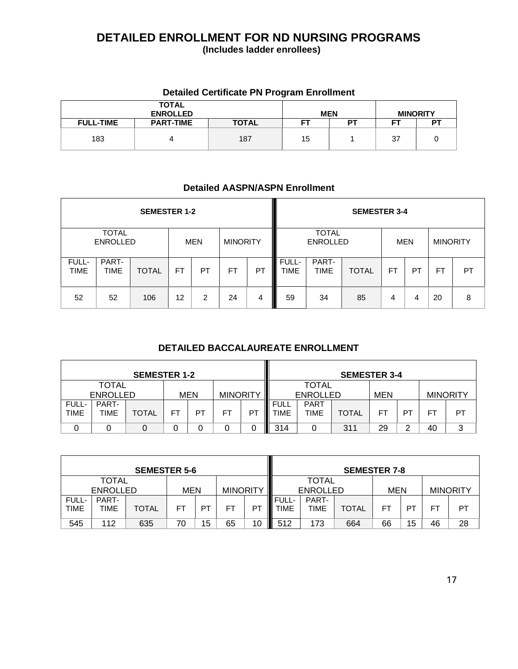### **DETAILED ENROLLMENT FOR ND NURSING PROGRAMS (Includes ladder enrollees)**

### **Detailed Certificate PN Program Enrollment**

|                  | <b>TOTAL</b><br><b>ENROLLED</b> |              | <b>MEN</b> |    |    | <b>MINORITY</b> |
|------------------|---------------------------------|--------------|------------|----|----|-----------------|
| <b>FULL-TIME</b> | <b>PART-TIME</b>                | <b>TOTAL</b> | FТ         | DТ |    | DТ              |
| 183              |                                 | 187          | 15         |    | 37 |                 |

### **Detailed AASPN/ASPN Enrollment**

|               |                                 | <b>SEMESTER 1-2</b> |    |                |                 |    |                      |                                 | <b>SEMESTER 3-4</b> |    |     |                 |           |
|---------------|---------------------------------|---------------------|----|----------------|-----------------|----|----------------------|---------------------------------|---------------------|----|-----|-----------------|-----------|
|               | <b>TOTAL</b><br><b>ENROLLED</b> |                     |    | MEN            | <b>MINORITY</b> |    |                      | <b>TOTAL</b><br><b>ENROLLED</b> |                     |    | MEN | <b>MINORITY</b> |           |
| FULL-<br>TIME | PART-<br>TIME                   | <b>TOTAL</b>        | FТ | PT             | FT              | PT | FULL-<br><b>TIME</b> | PART-<br><b>TIME</b>            | <b>TOTAL</b>        | FT | PT  | <b>FT</b>       | <b>PT</b> |
| 52            | 52                              | 106                 | 12 | $\overline{2}$ | 24              | 4  | 59                   | 34                              | 85                  | 4  | 4   | 20              | 8         |

### **DETAILED BACCALAUREATE ENROLLMENT**

|                      | <b>SEMESTER 1-2</b>      |              |    |            |                 |    | <b>SEMESTER 3-4</b>        |                                 |              |            |        |    |                 |  |
|----------------------|--------------------------|--------------|----|------------|-----------------|----|----------------------------|---------------------------------|--------------|------------|--------|----|-----------------|--|
|                      | TOTAL<br><b>ENROLLED</b> |              |    | <b>MEN</b> | <b>MINORITY</b> |    |                            | <b>TOTAL</b><br><b>ENROLLED</b> |              | <b>MEN</b> |        |    | <b>MINORITY</b> |  |
| FULL-<br><b>TIME</b> | PART-<br>TIME            | <b>TOTAL</b> | FT | רס         | FT              | P1 | <b>FULL</b><br><b>TIME</b> | <b>PART</b><br>TIME             | <b>TOTAL</b> | FT         | PT     | FТ | PT              |  |
|                      |                          |              |    |            |                 |    | 314                        |                                 | 311          | 29         | ◠<br>_ | 40 | 3               |  |

|                      |                                 | <b>SEMESTER 5-6</b> |                               |    |           |         |                      |                                 | <b>SEMESTER 7-8</b> |            |    |    |                 |
|----------------------|---------------------------------|---------------------|-------------------------------|----|-----------|---------|----------------------|---------------------------------|---------------------|------------|----|----|-----------------|
|                      | <b>TOTAL</b><br><b>ENROLLED</b> |                     | <b>MINORITY</b><br><b>MEN</b> |    |           |         |                      | <b>TOTAL</b><br><b>ENROLLED</b> |                     | <b>MEN</b> |    |    | <b>MINORITY</b> |
| FULL-<br><b>TIME</b> | PART-<br><b>TIME</b>            | TOTAL               | FТ                            | PT | <b>FT</b> | Γ<br>PT | FULL-<br><b>TIME</b> | PART-<br>TIME                   | <b>TOTAL</b>        | <b>FT</b>  | PT | FT | PT              |
| 545                  | 112                             | 635                 | 70                            | 15 | 65        | 10      | 512<br>Ш             | 173                             | 664                 | 66         | 15 | 46 | 28              |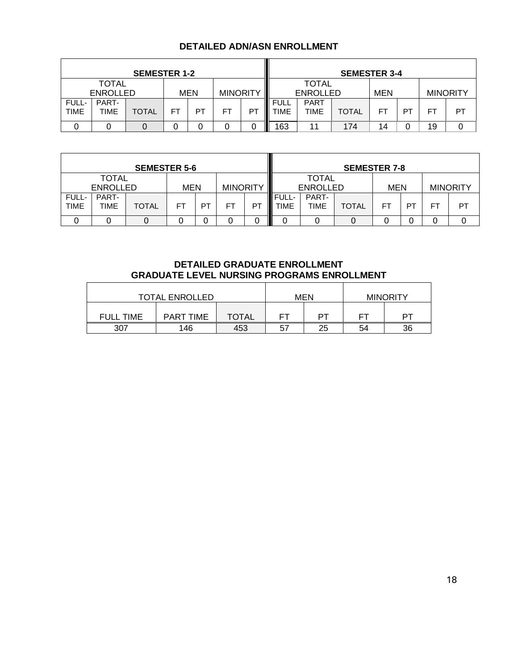### **DETAILED ADN/ASN ENROLLMENT**

|                      | <b>SEMESTER 1-2</b>             |       |                        |    |    |    |                     |                                 | <b>SEMESTER 3-4</b> |           |    |                 |    |  |
|----------------------|---------------------------------|-------|------------------------|----|----|----|---------------------|---------------------------------|---------------------|-----------|----|-----------------|----|--|
|                      | <b>TOTAL</b><br><b>ENROLLED</b> |       | MEN<br><b>MINORITY</b> |    |    |    |                     | <b>TOTAL</b><br><b>ENROLLED</b> |                     | MEN       |    | <b>MINORITY</b> |    |  |
| FULL-<br><b>TIME</b> | PART-<br>TIME                   | TOTAL | FT                     | PT | FT | P1 | <b>FULL</b><br>TIME | <b>PART</b><br>TIME             | <b>TOTAL</b>        | <b>FT</b> | PT | FT              | PT |  |
|                      |                                 |       | 0                      |    |    |    | 163<br>Ш            | 11                              | 174                 | 14        |    | 19              |    |  |

|                      |                          | <b>SEMESTER 5-6</b> |                               |    |    |    |                           |                                 | <b>SEMESTER 7-8</b> |     |    |    |                 |
|----------------------|--------------------------|---------------------|-------------------------------|----|----|----|---------------------------|---------------------------------|---------------------|-----|----|----|-----------------|
|                      | TOTAL<br><b>ENROLLED</b> |                     | <b>MINORITY</b><br><b>MEN</b> |    |    |    |                           | <b>TOTAL</b><br><b>ENROLLED</b> |                     | MEN |    |    | <b>MINORITY</b> |
| FULL-<br><b>TIME</b> | PART-<br>TIME            | TOTAL               | FT                            | PT | FT | PT | <b>FULL-</b><br>Ш<br>TIME | PART-<br>TIME                   | TOTAL               | FТ  | P1 | FТ | PT              |
|                      |                          |                     |                               |    |    | ი  |                           |                                 |                     |     |    |    |                 |

### **DETAILED GRADUATE ENROLLMENT GRADUATE LEVEL NURSING PROGRAMS ENROLLMENT**

| <b>TOTAL ENROLLED</b> |                  |              |                | MEN | <b>MINORITY</b> |    |  |
|-----------------------|------------------|--------------|----------------|-----|-----------------|----|--|
| <b>FULL TIME</b>      | <b>PART TIME</b> | <b>TOTAL</b> | ᇊ              | דם  | ᇊ               | דס |  |
| 307                   | 146              | 453          | 5 <sub>1</sub> | 25  | 54              | 36 |  |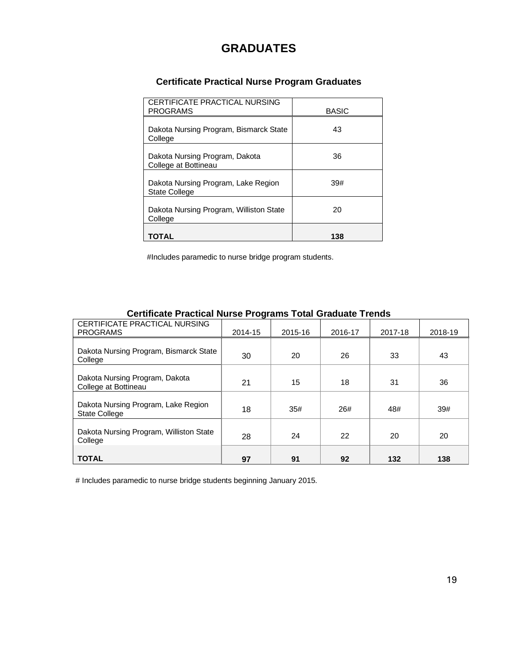### **GRADUATES**

### **Certificate Practical Nurse Program Graduates**

| CERTIFICATE PRACTICAL NURSING<br><b>PROGRAMS</b>            | <b>BASIC</b> |
|-------------------------------------------------------------|--------------|
| Dakota Nursing Program, Bismarck State<br>College           | 43           |
| Dakota Nursing Program, Dakota<br>College at Bottineau      | 36           |
| Dakota Nursing Program, Lake Region<br><b>State College</b> | 39#          |
| Dakota Nursing Program, Williston State<br>College          | 20           |
| TOTAL                                                       | 138          |

#Includes paramedic to nurse bridge program students.

| CERTIFICATE PRACTICAL NURSING<br><b>PROGRAMS</b>            | 2014-15 | 2015-16 | 2016-17 | 2017-18 | 2018-19 |  |  |  |  |
|-------------------------------------------------------------|---------|---------|---------|---------|---------|--|--|--|--|
| Dakota Nursing Program, Bismarck State                      |         |         |         |         |         |  |  |  |  |
| College                                                     | 30      | 20      | 26      | 33      | 43      |  |  |  |  |
| Dakota Nursing Program, Dakota<br>College at Bottineau      | 21      | 15      | 18      | 31      | 36      |  |  |  |  |
| Dakota Nursing Program, Lake Region<br><b>State College</b> | 18      | 35#     | 26#     | 48#     | 39#     |  |  |  |  |
| Dakota Nursing Program, Williston State<br>College          | 28      | 24      | 22      | 20      | 20      |  |  |  |  |
| <b>TOTAL</b>                                                | 97      | 91      | 92      | 132     | 138     |  |  |  |  |

### **Certificate Practical Nurse Programs Total Graduate Trends**

# Includes paramedic to nurse bridge students beginning January 2015.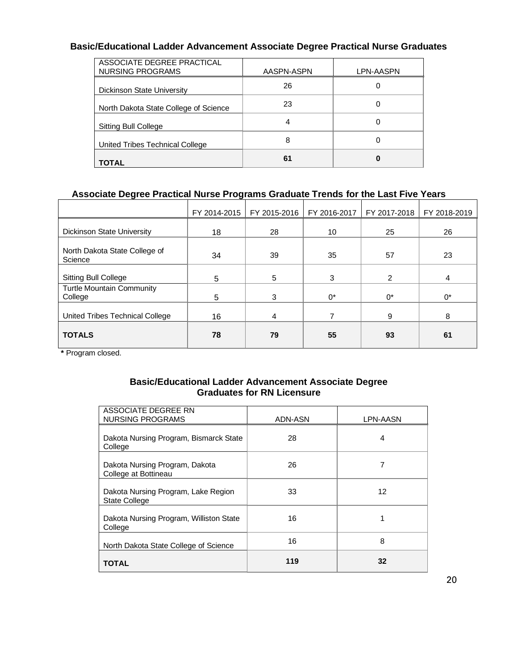### **Basic/Educational Ladder Advancement Associate Degree Practical Nurse Graduates**

| ASSOCIATE DEGREE PRACTICAL<br>NURSING PROGRAMS | AASPN-ASPN | LPN-AASPN |
|------------------------------------------------|------------|-----------|
| Dickinson State University                     | 26         | 0         |
| North Dakota State College of Science          | 23         | 0         |
| Sitting Bull College                           | 4          | 0         |
| United Tribes Technical College                | 8          | 0         |
| <b>TOTAL</b>                                   | 61         | 0         |

### **Associate Degree Practical Nurse Programs Graduate Trends for the Last Five Years**

|                                             | FY 2014-2015 | FY 2015-2016 | FY 2016-2017 | FY 2017-2018 | FY 2018-2019 |
|---------------------------------------------|--------------|--------------|--------------|--------------|--------------|
| Dickinson State University                  | 18           | 28           | 10           | 25           | 26           |
| North Dakota State College of<br>Science    | 34           | 39           | 35           | 57           | 23           |
| <b>Sitting Bull College</b>                 | 5            | 5            | 3            | 2            | 4            |
| <b>Turtle Mountain Community</b><br>College | 5            | 3            | $0^*$        | $0^*$        | $0^*$        |
| United Tribes Technical College             | 16           | 4            |              | 9            | 8            |
| <b>TOTALS</b>                               | 78           | 79           | 55           | 93           | 61           |

**\*** Program closed.

### **Basic/Educational Ladder Advancement Associate Degree Graduates for RN Licensure**

| ASSOCIATE DEGREE RN<br><b>NURSING PROGRAMS</b>              | ADN-ASN | LPN-AASN |
|-------------------------------------------------------------|---------|----------|
| Dakota Nursing Program, Bismarck State<br>College           | 28      | 4        |
| Dakota Nursing Program, Dakota<br>College at Bottineau      | 26      | 7        |
| Dakota Nursing Program, Lake Region<br><b>State College</b> | 33      | 12       |
| Dakota Nursing Program, Williston State<br>College          | 16      |          |
| North Dakota State College of Science                       | 16      | 8        |
| <b>TOTAL</b>                                                | 119     | 32       |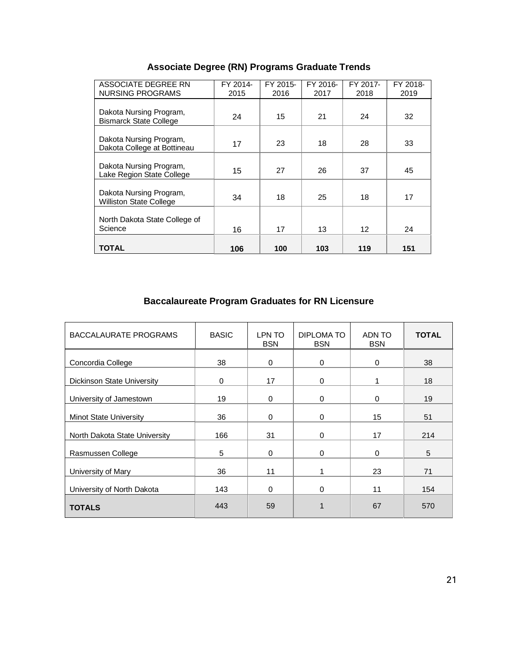| Associate Degree (RN) Programs Graduate Trends |  |  |  |  |
|------------------------------------------------|--|--|--|--|
|------------------------------------------------|--|--|--|--|

| ASSOCIATE DEGREE RN<br><b>NURSING PROGRAMS</b>            | FY 2014-<br>2015 | FY 2015-<br>2016 | FY 2016-<br>2017 | FY 2017-<br>2018 | FY 2018-<br>2019 |
|-----------------------------------------------------------|------------------|------------------|------------------|------------------|------------------|
| Dakota Nursing Program,<br><b>Bismarck State College</b>  | 24               | 15               | 21               | 24               | 32               |
| Dakota Nursing Program,<br>Dakota College at Bottineau    | 17               | 23               | 18               | 28               | 33               |
| Dakota Nursing Program,<br>Lake Region State College      | 15               | 27               | 26               | 37               | 45               |
| Dakota Nursing Program,<br><b>Williston State College</b> | 34               | 18               | 25               | 18               | 17               |
| North Dakota State College of<br>Science                  | 16               | 17               | 13               | 12               | 24               |
| <b>TOTAL</b>                                              | 106              | 100              | 103              | 119              | 151              |

### **Baccalaureate Program Graduates for RN Licensure**

| <b>BACCALAURATE PROGRAMS</b>  | <b>BASIC</b> | LPN TO<br><b>BSN</b> | DIPLOMA TO<br><b>BSN</b> | ADN TO<br><b>BSN</b> | <b>TOTAL</b> |
|-------------------------------|--------------|----------------------|--------------------------|----------------------|--------------|
| Concordia College             | 38           | $\mathbf 0$          | 0                        | $\mathbf{0}$         | 38           |
| Dickinson State University    | $\Omega$     | 17                   | 0                        |                      | 18           |
| University of Jamestown       | 19           | $\mathbf{0}$         | 0                        | $\Omega$             | 19           |
| <b>Minot State University</b> | 36           | $\Omega$             | $\Omega$                 | 15                   | 51           |
| North Dakota State University | 166          | 31                   | 0                        | 17                   | 214          |
| Rasmussen College             | 5            | $\mathbf 0$          | 0                        | $\Omega$             | 5            |
| University of Mary            | 36           | 11                   | 1                        | 23                   | 71           |
| University of North Dakota    | 143          | $\Omega$             | 0                        | 11                   | 154          |
| <b>TOTALS</b>                 | 443          | 59                   |                          | 67                   | 570          |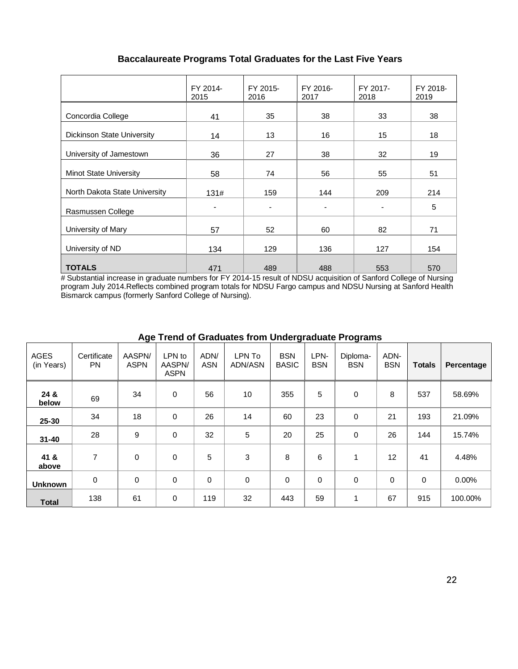### **Baccalaureate Programs Total Graduates for the Last Five Years**

|                               | FY 2014-<br>2015             | FY 2015-<br>2016 | FY 2016-<br>2017 | FY 2017-<br>2018         | FY 2018-<br>2019 |
|-------------------------------|------------------------------|------------------|------------------|--------------------------|------------------|
| Concordia College             | 41                           | 35               | 38               | 33                       | 38               |
| Dickinson State University    | 14                           | 13               | 16               | 15                       | 18               |
| University of Jamestown       | 36                           | 27               | 38               | 32                       | 19               |
| <b>Minot State University</b> | 58                           | 74               | 56               | 55                       | 51               |
| North Dakota State University | 131#                         | 159              | 144              | 209                      | 214              |
| Rasmussen College             | $\qquad \qquad \blacksquare$ | $\blacksquare$   |                  | $\overline{\phantom{a}}$ | 5                |
| University of Mary            | 57                           | 52               | 60               | 82                       | 71               |
| University of ND              | 134                          | 129              | 136              | 127                      | 154              |
| <b>TOTALS</b>                 | 471                          | 489              | 488              | 553                      | 570              |

# Substantial increase in graduate numbers for FY 2014-15 result of NDSU acquisition of Sanford College of Nursing program July 2014.Reflects combined program totals for NDSU Fargo campus and NDSU Nursing at Sanford Health Bismarck campus (formerly Sanford College of Nursing).

| <b>AGES</b><br>(in Years) | Certificate<br><b>PN</b> | AASPN/<br><b>ASPN</b> | LPN to<br>AASPN/<br><b>ASPN</b> | ADN/<br><b>ASN</b> | LPN To<br>ADN/ASN | <b>BSN</b><br><b>BASIC</b> | LPN-<br><b>BSN</b> | Diploma-<br><b>BSN</b> | ADN-<br><b>BSN</b> | <b>Totals</b> | Percentage |
|---------------------------|--------------------------|-----------------------|---------------------------------|--------------------|-------------------|----------------------------|--------------------|------------------------|--------------------|---------------|------------|
| 24 &<br>below             | 69                       | 34                    | 0                               | 56                 | 10                | 355                        | 5                  | $\mathbf 0$            | 8                  | 537           | 58.69%     |
| 25-30                     | 34                       | 18                    | 0                               | 26                 | 14                | 60                         | 23                 | 0                      | 21                 | 193           | 21.09%     |
| $31 - 40$                 | 28                       | 9                     | 0                               | 32                 | 5                 | 20                         | 25                 | 0                      | 26                 | 144           | 15.74%     |
| 41 &<br>above             | 7                        | 0                     | $\mathbf 0$                     | 5                  | 3                 | 8                          | 6                  | $\mathbf{1}$           | 12                 | 41            | 4.48%      |
| <b>Unknown</b>            | $\mathbf 0$              | 0                     | $\mathbf 0$                     | $\mathbf 0$        | $\mathbf 0$       | 0                          | $\mathbf 0$        | 0                      | $\Omega$           | $\mathbf 0$   | 0.00%      |
| <b>Total</b>              | 138                      | 61                    | 0                               | 119                | 32                | 443                        | 59                 | 1                      | 67                 | 915           | 100.00%    |

### **Age Trend of Graduates from Undergraduate Programs**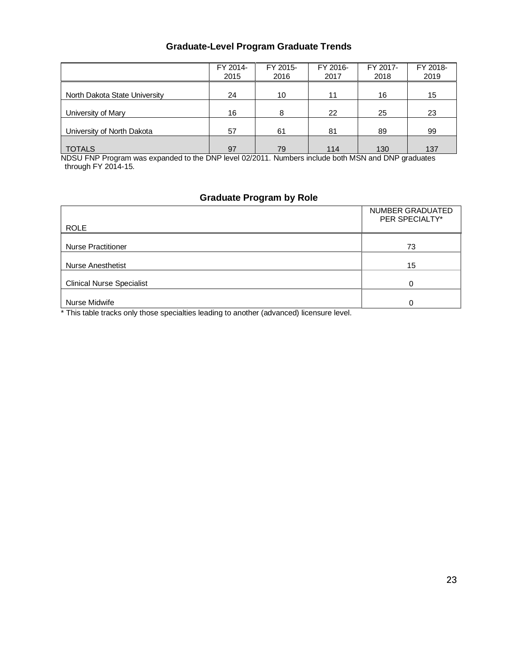### **Graduate-Level Program Graduate Trends**

|                               | FY 2014-<br>2015 | FY 2015-<br>2016 | FY 2016-<br>2017 | FY 2017-<br>2018 | FY 2018-<br>2019 |
|-------------------------------|------------------|------------------|------------------|------------------|------------------|
| North Dakota State University | 24               | 10               | 11               | 16               | 15               |
| University of Mary            | 16               | 8                | 22               | 25               | 23               |
| University of North Dakota    | 57               | 61               | 81               | 89               | 99               |
| <b>TOTALS</b>                 | 97               | 79               | 114              | 130              | 137              |

NDSU FNP Program was expanded to the DNP level 02/2011. Numbers include both MSN and DNP graduates through FY 2014-15.

### **Graduate Program by Role**

| 73 |
|----|
| 15 |
|    |
|    |
|    |

\* This table tracks only those specialties leading to another (advanced) licensure level.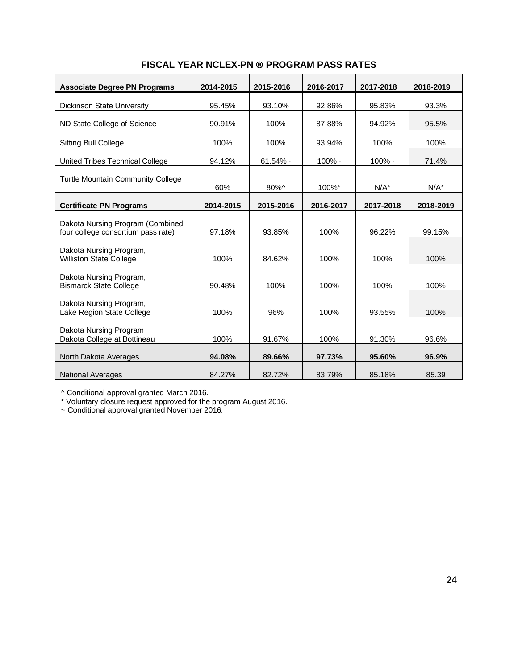| <b>Associate Degree PN Programs</b>                                    | 2014-2015 | 2015-2016   | 2016-2017 | 2017-2018 | 2018-2019 |
|------------------------------------------------------------------------|-----------|-------------|-----------|-----------|-----------|
| <b>Dickinson State University</b>                                      | 95.45%    | 93.10%      | 92.86%    | 95.83%    | 93.3%     |
| ND State College of Science                                            | 90.91%    | 100%        | 87.88%    | 94.92%    | 95.5%     |
| <b>Sitting Bull College</b>                                            | 100%      | 100%        | 93.94%    | 100%      | 100%      |
| United Tribes Technical College                                        | 94.12%    | $61.54\%$ ~ | 100%~     | 100%~     | 71.4%     |
| <b>Turtle Mountain Community College</b>                               |           |             |           |           |           |
|                                                                        | 60%       | 80%^        | 100%*     | $N/A^*$   | $N/A^*$   |
| <b>Certificate PN Programs</b>                                         | 2014-2015 | 2015-2016   | 2016-2017 | 2017-2018 | 2018-2019 |
| Dakota Nursing Program (Combined<br>four college consortium pass rate) | 97.18%    | 93.85%      | 100%      | 96.22%    | 99.15%    |
| Dakota Nursing Program,<br><b>Williston State College</b>              | 100%      | 84.62%      | 100%      | 100%      | 100%      |
| Dakota Nursing Program,<br><b>Bismarck State College</b>               | 90.48%    | 100%        | 100%      | 100%      | 100%      |
| Dakota Nursing Program,<br>Lake Region State College                   | 100%      | 96%         | 100%      | 93.55%    | 100%      |
| Dakota Nursing Program<br>Dakota College at Bottineau                  | 100%      | 91.67%      | 100%      | 91.30%    | 96.6%     |
| North Dakota Averages                                                  | 94.08%    | 89.66%      | 97.73%    | 95.60%    | 96.9%     |
| <b>National Averages</b>                                               | 84.27%    | 82.72%      | 83.79%    | 85.18%    | 85.39     |

### **FISCAL YEAR NCLEX-PN ® PROGRAM PASS RATES**

^ Conditional approval granted March 2016.

\* Voluntary closure request approved for the program August 2016.

~ Conditional approval granted November 2016.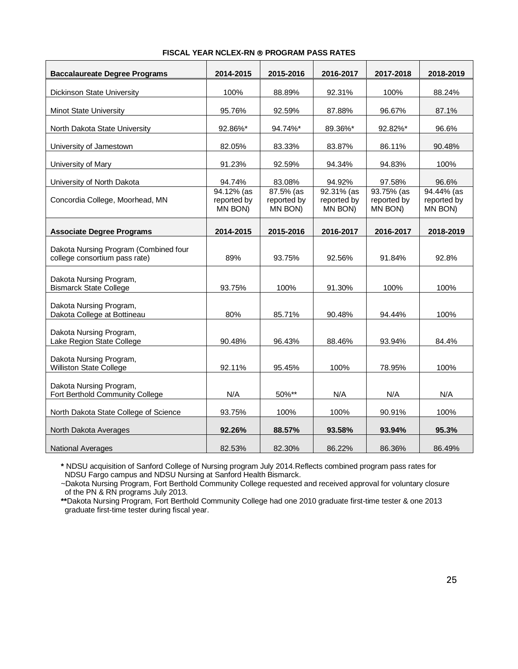| <b>Baccalaureate Degree Programs</b>                                   | 2014-2015                            | 2015-2016                           | 2016-2017                            | 2017-2018                            | 2018-2019                                      |
|------------------------------------------------------------------------|--------------------------------------|-------------------------------------|--------------------------------------|--------------------------------------|------------------------------------------------|
| <b>Dickinson State University</b>                                      | 100%                                 | 88.89%                              | 92.31%                               | 100%                                 | 88.24%                                         |
| <b>Minot State University</b>                                          | 95.76%                               | 92.59%                              | 87.88%                               | 96.67%                               | 87.1%                                          |
| North Dakota State University                                          | 92.86%*                              | 94.74%*                             | 89.36%*                              | 92.82%*                              | 96.6%                                          |
| University of Jamestown                                                | 82.05%                               | 83.33%                              | 83.87%                               | 86.11%                               | 90.48%                                         |
| University of Mary                                                     | 91.23%                               | 92.59%                              | 94.34%                               | 94.83%                               | 100%                                           |
| University of North Dakota                                             | 94.74%                               | 83.08%                              | 94.92%                               | 97.58%                               | 96.6%                                          |
| Concordia College, Moorhead, MN                                        | 94.12% (as<br>reported by<br>MN BON) | 87.5% (as<br>reported by<br>MN BON) | 92.31% (as<br>reported by<br>MN BON) | 93.75% (as<br>reported by<br>MN BON) | $\sqrt{94.44\%}$ (as<br>reported by<br>MN BON) |
| <b>Associate Degree Programs</b>                                       | 2014-2015                            | 2015-2016                           | 2016-2017                            | 2016-2017                            | 2018-2019                                      |
| Dakota Nursing Program (Combined four<br>college consortium pass rate) | 89%                                  | 93.75%                              | 92.56%                               | 91.84%                               | 92.8%                                          |
| Dakota Nursing Program,<br><b>Bismarck State College</b>               | 93.75%                               | 100%                                | 91.30%                               | 100%                                 | 100%                                           |
| Dakota Nursing Program,<br>Dakota College at Bottineau                 | 80%                                  | 85.71%                              | 90.48%                               | 94.44%                               | 100%                                           |
| Dakota Nursing Program,<br>Lake Region State College                   | 90.48%                               | 96.43%                              | 88.46%                               | 93.94%                               | 84.4%                                          |
| Dakota Nursing Program,<br><b>Williston State College</b>              | 92.11%                               | 95.45%                              | 100%                                 | 78.95%                               | 100%                                           |
| Dakota Nursing Program,<br>Fort Berthold Community College             | N/A                                  | 50%**                               | N/A                                  | N/A                                  | N/A                                            |
| North Dakota State College of Science                                  | 93.75%                               | 100%                                | 100%                                 | 90.91%                               | 100%                                           |
| North Dakota Averages                                                  | 92.26%                               | 88.57%                              | 93.58%                               | 93.94%                               | 95.3%                                          |
| <b>National Averages</b>                                               | 82.53%                               | 82.30%                              | 86.22%                               | 86.36%                               | 86.49%                                         |

#### **FISCAL YEAR NCLEX-RN PROGRAM PASS RATES**

**\*** NDSU acquisition of Sanford College of Nursing program July 2014.Reflects combined program pass rates for NDSU Fargo campus and NDSU Nursing at Sanford Health Bismarck.

~Dakota Nursing Program, Fort Berthold Community College requested and received approval for voluntary closure of the PN & RN programs July 2013.

**\*\***Dakota Nursing Program, Fort Berthold Community College had one 2010 graduate first-time tester & one 2013 graduate first-time tester during fiscal year.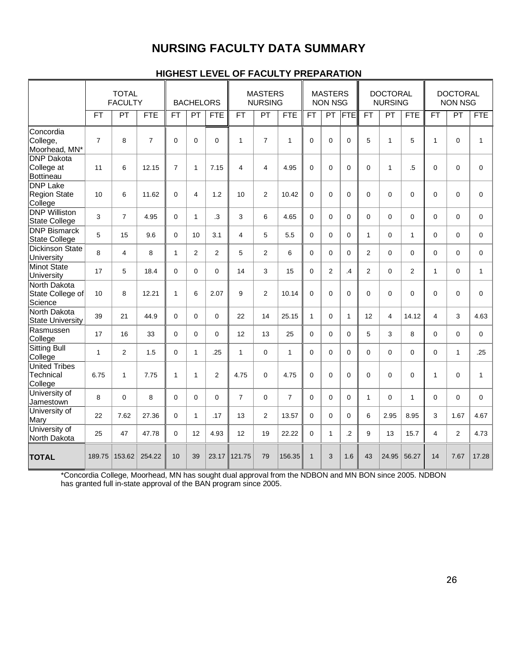### **NURSING FACULTY DATA SUMMARY**

### **HIGHEST LEVEL OF FACULTY PREPARATION**

|                                                     | <b>TOTAL</b><br><b>FACULTY</b> |                |                | <b>BACHELORS</b> |                 |                | <b>MASTERS</b><br><b>NURSING</b> |                |                | <b>MASTERS</b><br><b>NON NSG</b> |                |                 | <b>DOCTORAL</b><br><b>NURSING</b> |                |                | <b>DOCTORAL</b><br><b>NON NSG</b> |                |              |
|-----------------------------------------------------|--------------------------------|----------------|----------------|------------------|-----------------|----------------|----------------------------------|----------------|----------------|----------------------------------|----------------|-----------------|-----------------------------------|----------------|----------------|-----------------------------------|----------------|--------------|
|                                                     | <b>FT</b>                      | PT             | <b>FTE</b>     | FT               | PT              | <b>FTE</b>     | <b>FT</b>                        | PT             | <b>FTE</b>     | FT                               | PT             | <b>FTE</b>      | <b>FT</b>                         | PT             | <b>FTE</b>     | <b>FT</b>                         | PT             | <b>FTE</b>   |
| Concordia<br>College,<br>Moorhead, MN*              | $\overline{7}$                 | 8              | $\overline{7}$ | $\Omega$         | $\mathbf 0$     | $\mathbf 0$    | $\mathbf{1}$                     | $\overline{7}$ | 1              | $\Omega$                         | $\mathbf 0$    | $\mathbf 0$     | 5                                 | $\mathbf{1}$   | 5              | $\mathbf{1}$                      | $\mathbf 0$    | $\mathbf{1}$ |
| <b>DNP Dakota</b><br>College at<br><b>Bottineau</b> | 11                             | 6              | 12.15          | $\overline{7}$   | $\mathbf{1}$    | 7.15           | $\overline{4}$                   | $\overline{4}$ | 4.95           | $\Omega$                         | $\Omega$       | $\Omega$        | $\overline{0}$                    | $\mathbf{1}$   | $\overline{5}$ | $\overline{0}$                    | $\Omega$       | $\Omega$     |
| <b>DNP</b> Lake<br><b>Region State</b><br>College   | 10                             | 6              | 11.62          | $\Omega$         | 4               | 1.2            | 10                               | $\overline{2}$ | 10.42          | $\Omega$                         | $\mathbf 0$    | $\Omega$        | 0                                 | $\mathbf 0$    | $\Omega$       | $\Omega$                          | $\Omega$       | $\mathbf 0$  |
| <b>DNP Williston</b><br><b>State College</b>        | 3                              | $\overline{7}$ | 4.95           | $\Omega$         | $\mathbf{1}$    | $\cdot$        | 3                                | 6              | 4.65           | $\Omega$                         | $\Omega$       | $\Omega$        | 0                                 | 0              | $\Omega$       | $\Omega$                          | $\mathbf 0$    | $\mathbf 0$  |
| <b>DNP Bismarck</b><br><b>State College</b>         | 5                              | 15             | 9.6            | $\Omega$         | 10 <sup>1</sup> | 3.1            | 4                                | 5              | 5.5            | $\Omega$                         | $\Omega$       | $\Omega$        | $\mathbf{1}$                      | $\mathbf 0$    | $\mathbf{1}$   | $\Omega$                          | $\Omega$       | $\Omega$     |
| <b>Dickinson State</b><br>University                | 8                              | $\overline{4}$ | 8              | $\mathbf{1}$     | $\overline{2}$  | $\overline{2}$ | 5                                | $\overline{2}$ | 6              | $\Omega$                         | $\mathbf 0$    | $\Omega$        | $\overline{2}$                    | 0              | $\Omega$       | $\Omega$                          | $\mathbf 0$    | $\mathbf 0$  |
| <b>Minot State</b><br>University                    | 17                             | 5              | 18.4           | $\Omega$         | $\Omega$        | $\mathbf 0$    | 14                               | 3              | 15             | $\Omega$                         | $\overline{2}$ | $\overline{.4}$ | $\overline{2}$                    | $\mathbf 0$    | $\overline{2}$ | $\mathbf{1}$                      | $\Omega$       | 1            |
| North Dakota<br>State College of<br>Science         | 10                             | 8              | 12.21          | $\mathbf{1}$     | 6               | 2.07           | 9                                | $\overline{2}$ | 10.14          | $\Omega$                         | $\Omega$       | $\Omega$        | $\overline{0}$                    | 0              | $\Omega$       | $\Omega$                          | $\mathbf 0$    | $\mathbf 0$  |
| North Dakota<br><b>State University</b>             | 39                             | 21             | 44.9           | $\Omega$         | $\mathbf 0$     | $\mathbf 0$    | 22                               | 14             | 25.15          | $\mathbf{1}$                     | $\Omega$       | $\mathbf{1}$    | 12                                | $\overline{4}$ | 14.12          | $\overline{4}$                    | 3              | 4.63         |
| Rasmussen<br>College                                | 17                             | 16             | 33             | $\Omega$         | $\Omega$        | $\mathbf 0$    | 12                               | 13             | 25             | $\Omega$                         | $\Omega$       | $\Omega$        | 5                                 | 3              | 8              | $\Omega$                          | $\Omega$       | $\Omega$     |
| Sitting Bull<br>College                             | $\mathbf{1}$                   | 2              | 1.5            | $\Omega$         | $\mathbf{1}$    | .25            | $\mathbf{1}$                     | $\mathbf 0$    | $\mathbf{1}$   | $\Omega$                         | 0              | $\Omega$        | 0                                 | 0              | $\Omega$       | $\Omega$                          | $\mathbf{1}$   | .25          |
| <b>United Tribes</b><br>Technical<br>College        | 6.75                           | $\mathbf{1}$   | 7.75           | $\mathbf{1}$     | $\mathbf{1}$    | $\overline{2}$ | 4.75                             | $\Omega$       | 4.75           | $\Omega$                         | $\Omega$       | $\Omega$        | $\Omega$                          | $\Omega$       | $\Omega$       | $\mathbf{1}$                      | $\Omega$       | $\mathbf{1}$ |
| University of<br>Jamestown                          | 8                              | $\Omega$       | 8              | $\Omega$         | $\Omega$        | 0              | $\overline{7}$                   | $\mathbf 0$    | $\overline{7}$ | $\Omega$                         | $\overline{0}$ | $\Omega$        | 1                                 | 0              | 1              | $\Omega$                          | $\Omega$       | $\Omega$     |
| University of<br>Mary                               | 22                             | 7.62           | 27.36          | $\Omega$         | $\mathbf{1}$    | .17            | 13                               | $\overline{2}$ | 13.57          | $\Omega$                         | $\Omega$       | $\Omega$        | 6                                 | 2.95           | 8.95           | 3                                 | 1.67           | 4.67         |
| University of<br>North Dakota                       | 25                             | 47             | 47.78          | $\Omega$         | 12              | 4.93           | 12                               | 19             | 22.22          | $\Omega$                         | $\mathbf{1}$   | $\overline{2}$  | 9                                 | 13             | 15.7           | $\overline{\mathbf{4}}$           | $\overline{2}$ | 4.73         |
| <b>TOTAL</b>                                        | 189.75                         | 153.62         | 254.22         | 10               | 39              | 23.17          | 121.75                           | 79             | 156.35         | $\overline{1}$                   | 3              | 1.6             | 43                                | 24.95          | 56.27          | 14                                | 7.67           | 17.28        |

\*Concordia College, Moorhead, MN has sought dual approval from the NDBON and MN BON since 2005. NDBON has granted full in-state approval of the BAN program since 2005.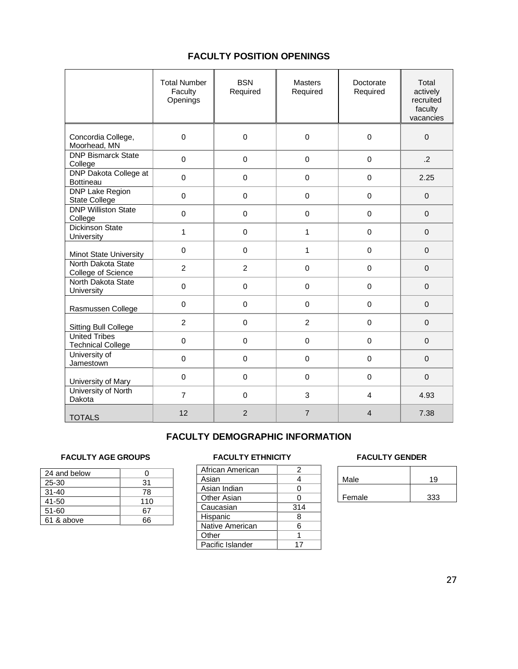### **FACULTY POSITION OPENINGS**

|                                                  | <b>Total Number</b><br>Faculty<br>Openings | <b>BSN</b><br>Required | <b>Masters</b><br>Required | Doctorate<br>Required   | Total<br>actively<br>recruited<br>faculty<br>vacancies |
|--------------------------------------------------|--------------------------------------------|------------------------|----------------------------|-------------------------|--------------------------------------------------------|
| Concordia College,<br>Moorhead, MN               | $\mathbf 0$                                | $\mathbf 0$            | $\mathbf 0$                | $\mathbf 0$             | $\mathbf 0$                                            |
| <b>DNP Bismarck State</b><br>College             | $\mathbf 0$                                | $\mathbf 0$            | $\mathbf 0$                | $\mathbf 0$             | $.2\overline{ }$                                       |
| <b>DNP Dakota College at</b><br>Bottineau        | $\mathbf 0$                                | $\pmb{0}$              | $\pmb{0}$                  | $\mathbf 0$             | 2.25                                                   |
| <b>DNP Lake Region</b><br>State College          | $\mathbf 0$                                | $\mathbf 0$            | $\mathbf 0$                | $\mathbf 0$             | $\mathbf 0$                                            |
| <b>DNP Williston State</b><br>College            | $\mathbf 0$                                | $\mathbf 0$            | $\mathbf 0$                | $\mathbf 0$             | $\Omega$                                               |
| <b>Dickinson State</b><br>University             | 1                                          | $\pmb{0}$              | 1                          | $\mathbf 0$             | $\Omega$                                               |
| Minot State University                           | $\mathbf 0$                                | $\mathbf 0$            | 1                          | $\mathbf 0$             | $\mathbf 0$                                            |
| North Dakota State<br>College of Science         | $\overline{c}$                             | $\overline{c}$         | $\mathbf 0$                | $\mathbf 0$             | $\mathbf 0$                                            |
| North Dakota State<br>University                 | $\pmb{0}$                                  | $\mathsf 0$            | $\mathbf 0$                | $\mathbf 0$             | $\Omega$                                               |
| Rasmussen College                                | $\pmb{0}$                                  | $\pmb{0}$              | $\boldsymbol{0}$           | 0                       | $\mathbf 0$                                            |
| <b>Sitting Bull College</b>                      | $\overline{c}$                             | $\pmb{0}$              | $\overline{2}$             | $\mathbf 0$             | $\Omega$                                               |
| <b>United Tribes</b><br><b>Technical College</b> | $\pmb{0}$                                  | $\pmb{0}$              | $\boldsymbol{0}$           | $\mathbf 0$             | $\mathbf 0$                                            |
| University of<br>Jamestown                       | $\boldsymbol{0}$                           | $\pmb{0}$              | $\mathbf 0$                | 0                       | $\mathbf{0}$                                           |
| University of Mary                               | $\Omega$                                   | $\Omega$               | $\Omega$                   | $\Omega$                | $\Omega$                                               |
| University of North<br>Dakota                    | $\overline{7}$                             | $\mathbf 0$            | 3                          | $\overline{\mathbf{4}}$ | 4.93                                                   |
| <b>TOTALS</b>                                    | 12                                         | 2                      | $\overline{7}$             | $\overline{4}$          | 7.38                                                   |

### **FACULTY DEMOGRAPHIC INFORMATION**

### FACULTY AGE GROUPS **FACULTY ETHNICITY FACULTY GENDER**

| 24 and below |     |
|--------------|-----|
| 25-30        | 31  |
| $31 - 40$    | 78  |
| $41 - 50$    | 110 |
| $51 - 60$    | 67  |
| 61 & above   | 66  |

| African American | 2   |
|------------------|-----|
| Asian            | 4   |
| Asian Indian     | 0   |
| Other Asian      | 0   |
| Caucasian        | 314 |
| Hispanic         | 8   |
| Native American  | ิค  |
| Other            |     |
| Pacific Islander | 17  |

| Male   | 10  |
|--------|-----|
| Female | 333 |
|        |     |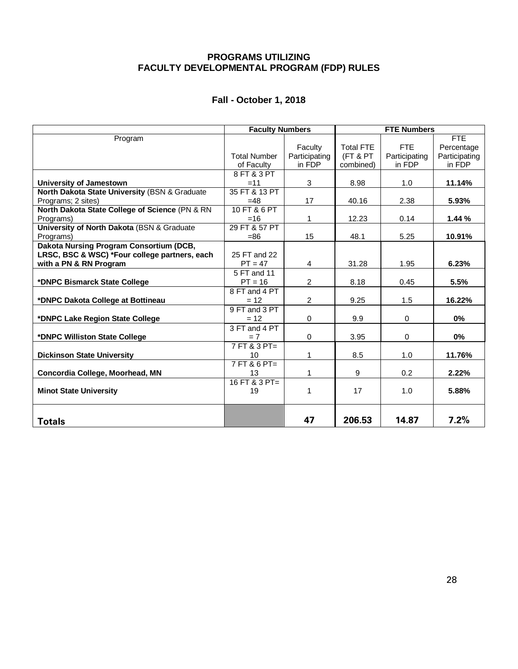### **PROGRAMS UTILIZING FACULTY DEVELOPMENTAL PROGRAM (FDP) RULES**

### **Fall - October 1, 2018**

|                                                | <b>Faculty Numbers</b> |                | <b>FTE Numbers</b> |               |               |  |
|------------------------------------------------|------------------------|----------------|--------------------|---------------|---------------|--|
| Program                                        |                        |                |                    |               | FTE.          |  |
|                                                |                        | Faculty        | <b>Total FTE</b>   | <b>FTE</b>    | Percentage    |  |
|                                                | <b>Total Number</b>    | Participating  | (FT & PT           | Participating | Participating |  |
|                                                | of Faculty             | in FDP         | combined)          | in FDP        | in FDP        |  |
|                                                | 8 FT & 3 PT            |                |                    |               |               |  |
| University of Jamestown                        | $=11$                  | 3              | 8.98               | 1.0           | 11.14%        |  |
| North Dakota State University (BSN & Graduate  | 35 FT & 13 PT          |                |                    |               |               |  |
| Programs; 2 sites)                             | $=48$                  | 17             | 40.16              | 2.38          | 5.93%         |  |
| North Dakota State College of Science (PN & RN | 10 FT & 6 PT           |                |                    |               |               |  |
| Programs)                                      | $=16$                  | 1              | 12.23              | 0.14          | 1.44%         |  |
| University of North Dakota (BSN & Graduate     | 29 FT & 57 PT          |                |                    |               |               |  |
| Programs)                                      | $=86$                  | 15             | 48.1               | 5.25          | 10.91%        |  |
| Dakota Nursing Program Consortium (DCB,        |                        |                |                    |               |               |  |
| LRSC, BSC & WSC) *Four college partners, each  | 25 FT and 22           |                |                    |               |               |  |
| with a PN & RN Program                         | $PT = 47$              | 4              | 31.28              | 1.95          | 6.23%         |  |
|                                                | 5 FT and 11            |                |                    |               |               |  |
| *DNPC Bismarck State College                   | $PT = 16$              | 2              | 8.18               | 0.45          | 5.5%          |  |
|                                                | 8 FT and 4 PT          |                |                    |               |               |  |
| *DNPC Dakota College at Bottineau              | $= 12$                 | $\overline{2}$ | 9.25               | 1.5           | 16.22%        |  |
|                                                | 9 FT and 3 PT          |                |                    |               |               |  |
| *DNPC Lake Region State College                | $= 12$                 | $\Omega$       | 9.9                | $\mathbf 0$   | $0\%$         |  |
|                                                | 3 FT and 4 PT          |                |                    |               |               |  |
| *DNPC Williston State College                  | $= 7$                  | $\mathbf 0$    | 3.95               | $\mathbf 0$   | $0\%$         |  |
|                                                | 7 FT & 3 PT=           |                |                    |               |               |  |
| <b>Dickinson State University</b>              | 10                     | 1              | 8.5                | 1.0           | 11.76%        |  |
|                                                | 7 FT & 6 PT=           |                |                    |               |               |  |
| Concordia College, Moorhead, MN                | 13                     | 1              | 9                  | $0.2^{\circ}$ | 2.22%         |  |
|                                                | 16 FT & 3 PT=          |                |                    |               |               |  |
| <b>Minot State University</b>                  | 19                     | 1              | 17                 | 1.0           | 5.88%         |  |
|                                                |                        |                |                    |               |               |  |
|                                                |                        |                |                    |               |               |  |
| <b>Totals</b>                                  |                        | 47             | 206.53             | 14.87         | 7.2%          |  |
|                                                |                        |                |                    |               |               |  |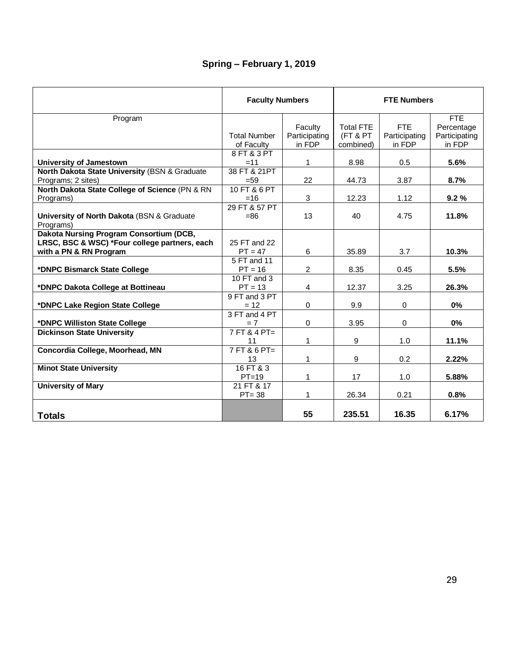### **Spring – February 1, 2019**

|                                                         | <b>Faculty Numbers</b> |                | <b>FTE Numbers</b> |               |               |  |
|---------------------------------------------------------|------------------------|----------------|--------------------|---------------|---------------|--|
| Program                                                 |                        |                |                    |               | FTE           |  |
|                                                         |                        | Faculty        | <b>Total FTE</b>   | <b>FTF</b>    | Percentage    |  |
|                                                         | <b>Total Number</b>    | Participating  | (FT & PT           | Participating | Participating |  |
|                                                         | of Faculty             | in FDP         | combined)          | in FDP        | in FDP        |  |
|                                                         | 8 FT & 3 PT            |                |                    |               |               |  |
| <b>University of Jamestown</b>                          | $=11$                  | 1              | 8.98               | 0.5           | 5.6%          |  |
| North Dakota State University (BSN & Graduate           | 38 FT & 21PT           |                |                    |               |               |  |
| Programs; 2 sites)                                      | $= 59$                 | 22             | 44.73              | 3.87          | 8.7%          |  |
| North Dakota State College of Science (PN & RN          | 10 FT & 6 PT           |                |                    |               |               |  |
| Programs)                                               | $=16$                  | 3              | 12.23              | 1.12          | 9.2%          |  |
|                                                         | 29 FT & 57 PT          |                |                    |               |               |  |
| University of North Dakota (BSN & Graduate<br>Programs) | $= 86$                 | 13             | 40                 | 4.75          | 11.8%         |  |
| Dakota Nursing Program Consortium (DCB,                 |                        |                |                    |               |               |  |
| LRSC, BSC & WSC) *Four college partners, each           | 25 FT and 22           |                |                    |               |               |  |
| with a PN & RN Program                                  | $PT = 47$              | 6              | 35.89              | 3.7           | 10.3%         |  |
|                                                         | 5 FT and 11            |                |                    |               |               |  |
| *DNPC Bismarck State College                            | $PT = 16$              | $\overline{2}$ | 8.35               | 0.45          | 5.5%          |  |
|                                                         | 10 FT and 3            |                |                    |               |               |  |
| *DNPC Dakota College at Bottineau                       | $PT = 13$              | $\overline{4}$ | 12.37              | 3.25          | 26.3%         |  |
|                                                         | 9 FT and 3 PT          |                |                    |               |               |  |
| *DNPC Lake Region State College                         | $= 12$                 | $\Omega$       | 9.9                | $\Omega$      | 0%            |  |
|                                                         | 3 FT and 4 PT          |                |                    |               |               |  |
| *DNPC Williston State College                           | $= 7$                  | $\Omega$       | 3.95               | $\Omega$      | 0%            |  |
| <b>Dickinson State University</b>                       | $7FT & 4 PT =$         |                |                    |               |               |  |
|                                                         | 11                     | 1              | 9                  | 1.0           | 11.1%         |  |
| Concordia College, Moorhead, MN                         | $7FT & 6PT =$          |                |                    |               |               |  |
|                                                         | 13                     | 1              | 9                  | 0.2           | 2.22%         |  |
| <b>Minot State University</b>                           | $16$ FT & 3            |                |                    |               |               |  |
|                                                         | $PT=19$                | 1              | 17                 | 1.0           | 5.88%         |  |
| <b>University of Mary</b>                               | 21 FT & 17             |                |                    |               |               |  |
|                                                         | $PT = 38$              | 1              | 26.34              | 0.21          | 0.8%          |  |
|                                                         |                        |                |                    |               |               |  |
| <b>Totals</b>                                           |                        | 55             | 235.51             | 16.35         | 6.17%         |  |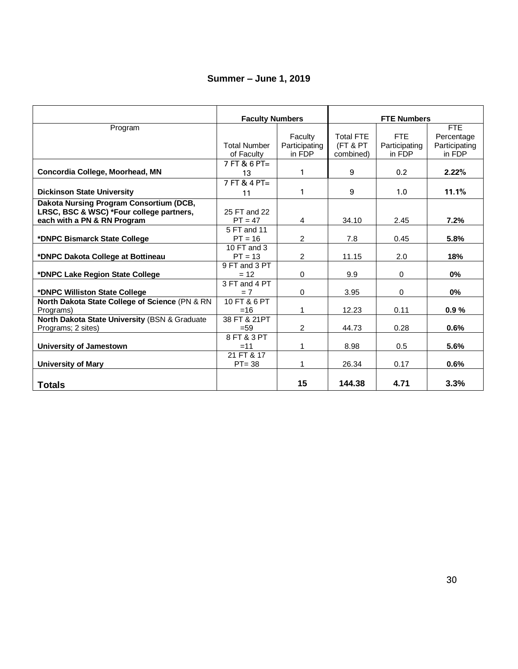### **Summer – June 1, 2019**

|                                                | <b>Faculty Numbers</b>  |               | <b>FTE Numbers</b> |               |               |  |
|------------------------------------------------|-------------------------|---------------|--------------------|---------------|---------------|--|
| Program                                        |                         |               |                    |               | FTE           |  |
|                                                |                         | Faculty       | <b>Total FTE</b>   | <b>FTF</b>    | Percentage    |  |
|                                                | <b>Total Number</b>     | Participating | (FT & PT           | Participating | Participating |  |
|                                                | of Faculty              | in FDP        | combined)          | in FDP        | in FDP        |  |
|                                                | $7$ FT & 6 PT=          |               |                    |               |               |  |
| Concordia College, Moorhead, MN                | 13                      | 1             | 9                  | 0.2           | 2.22%         |  |
|                                                | $7FT & 4 PT =$          |               |                    |               |               |  |
| <b>Dickinson State University</b>              | 11                      | 1             | 9                  | 1.0           | 11.1%         |  |
| Dakota Nursing Program Consortium (DCB,        |                         |               |                    |               |               |  |
| LRSC, BSC & WSC) *Four college partners,       | 25 FT and 22            |               |                    |               |               |  |
| each with a PN & RN Program                    | $PT = 47$               | 4             | 34.10              | 2.45          | 7.2%          |  |
|                                                | 5 FT and 11             |               |                    |               |               |  |
| *DNPC Bismarck State College                   | $PT = 16$               | 2             | 7.8                | 0.45          | 5.8%          |  |
|                                                | 10 FT and 3             |               |                    |               |               |  |
| *DNPC Dakota College at Bottineau              | $PT = 13$               | 2             | 11.15              | 2.0           | 18%           |  |
|                                                | 9 FT and 3 PT           |               |                    |               |               |  |
| *DNPC Lake Region State College                | $= 12$                  | $\mathbf 0$   | 9.9                | 0             | $0\%$         |  |
|                                                | 3 FT and 4 PT           |               |                    |               |               |  |
| *DNPC Williston State College                  | $= 7$                   | $\Omega$      | 3.95               | 0             | 0%            |  |
| North Dakota State College of Science (PN & RN | 10 FT & 6 PT            |               |                    |               |               |  |
| Programs)                                      | $=16$                   | 1             | 12.23              | 0.11          | 0.9%          |  |
| North Dakota State University (BSN & Graduate  | 38 FT & 21PT            |               |                    |               |               |  |
| Programs; 2 sites)                             | $= 59$                  | 2             | 44.73              | 0.28          | 0.6%          |  |
|                                                | 8 FT & 3 PT             |               |                    |               |               |  |
| <b>University of Jamestown</b>                 | $=11$                   | 1             | 8.98               | 0.5           | 5.6%          |  |
|                                                | 21 FT & 17<br>$PT = 38$ | 1             | 26.34              | 0.17          | 0.6%          |  |
| <b>University of Mary</b>                      |                         |               |                    |               |               |  |
|                                                |                         |               |                    |               |               |  |
| Totals                                         |                         | 15            | 144.38             | 4.71          | 3.3%          |  |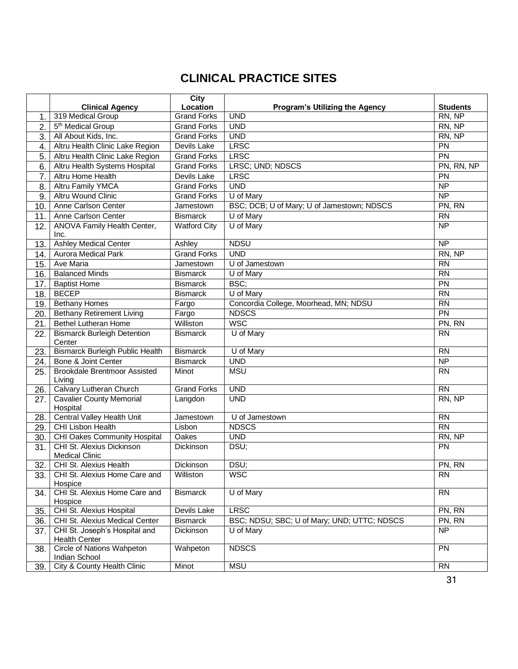## **CLINICAL PRACTICE SITES**

|                |                                                       | City                |                                             |                 |
|----------------|-------------------------------------------------------|---------------------|---------------------------------------------|-----------------|
|                | <b>Clinical Agency</b>                                | Location            | Program's Utilizing the Agency              | <b>Students</b> |
| 1.             | 319 Medical Group                                     | <b>Grand Forks</b>  | <b>UND</b>                                  | RN, NP          |
| $\overline{2}$ | 5 <sup>th</sup> Medical Group                         | <b>Grand Forks</b>  | <b>UND</b>                                  | RN, NP          |
| 3.             | All About Kids, Inc.                                  | <b>Grand Forks</b>  | <b>UND</b>                                  | RN, NP          |
| 4.             | Altru Health Clinic Lake Region                       | Devils Lake         | <b>LRSC</b>                                 | PN              |
| 5.             | Altru Health Clinic Lake Region                       | <b>Grand Forks</b>  | <b>LRSC</b>                                 | PN              |
| 6.             | Altru Health Systems Hospital                         | <b>Grand Forks</b>  | LRSC; UND; NDSCS                            | PN, RN, NP      |
| 7.             | <b>Altru Home Health</b>                              | Devils Lake         | <b>LRSC</b>                                 | PN              |
| 8.             | <b>Altru Family YMCA</b>                              | <b>Grand Forks</b>  | <b>UND</b>                                  | $\overline{NP}$ |
| 9.             | <b>Altru Wound Clinic</b>                             | <b>Grand Forks</b>  | U of Mary                                   | <b>NP</b>       |
| 10.            | Anne Carlson Center                                   | Jamestown           | BSC; DCB; U of Mary; U of Jamestown; NDSCS  | PN, RN          |
| 11.            | Anne Carlson Center                                   | <b>Bismarck</b>     | U of Mary                                   | <b>RN</b>       |
| 12.            | ANOVA Family Health Center,<br>Inc.                   | <b>Watford City</b> | U of Mary                                   | $\overline{NP}$ |
| 13.            | <b>Ashley Medical Center</b>                          | Ashley              | <b>NDSU</b>                                 | <b>NP</b>       |
| 14.            | <b>Aurora Medical Park</b>                            | <b>Grand Forks</b>  | <b>UND</b>                                  | RN, NP          |
| 15.            | Ave Maria                                             | Jamestown           | U of Jamestown                              | $\overline{RN}$ |
| 16.            | <b>Balanced Minds</b>                                 | <b>Bismarck</b>     | U of Mary                                   | $\overline{RN}$ |
| 17.            | <b>Baptist Home</b>                                   | <b>Bismarck</b>     | BSC;                                        | $\overline{PN}$ |
| 18.            | <b>BECEP</b>                                          | <b>Bismarck</b>     | U of Mary                                   | $\overline{RN}$ |
| 19.            | <b>Bethany Homes</b>                                  | Fargo               | Concordia College, Moorhead, MN; NDSU       | <b>RN</b>       |
| 20.            | <b>Bethany Retirement Living</b>                      | Fargo               | <b>NDSCS</b>                                | $\overline{PN}$ |
| 21.            | <b>Bethel Lutheran Home</b>                           | Williston           | <b>WSC</b>                                  | PN, RN          |
| 22.            | <b>Bismarck Burleigh Detention</b><br>Center          | <b>Bismarck</b>     | U of Mary                                   | <b>RN</b>       |
| 23.            | <b>Bismarck Burleigh Public Health</b>                | <b>Bismarck</b>     | U of Mary                                   | <b>RN</b>       |
| 24.            | Bone & Joint Center                                   | <b>Bismarck</b>     | <b>UND</b>                                  | NP              |
| 25.            | <b>Brookdale Brentmoor Assisted</b><br>Living         | Minot               | <b>MSU</b>                                  | <b>RN</b>       |
| 26.            | Calvary Lutheran Church                               | <b>Grand Forks</b>  | <b>UND</b>                                  | <b>RN</b>       |
| 27.            | <b>Cavalier County Memorial</b><br>Hospital           | Langdon             | <b>UND</b>                                  | RN, NP          |
| 28.            | Central Valley Health Unit                            | Jamestown           | U of Jamestown                              | <b>RN</b>       |
| 29.            | CHI Lisbon Health                                     | Lisbon              | <b>NDSCS</b>                                | <b>RN</b>       |
| 30.            | <b>CHI Oakes Community Hospital</b>                   | Oakes               | <b>UND</b>                                  | RN, NP          |
| 31.            | CHI St. Alexius Dickinson<br><b>Medical Clinic</b>    | Dickinson           | DSU;                                        | PN              |
| 32.            | <b>CHI St. Alexius Health</b>                         | Dickinson           | DSU;                                        | PN, RN          |
| 33.            | CHI St. Alexius Home Care and<br>Hospice              | Williston           | <b>WSC</b>                                  | <b>RN</b>       |
| 34.            | CHI St. Alexius Home Care and<br>Hospice              | <b>Bismarck</b>     | U of Mary                                   | <b>RN</b>       |
| 35.            | CHI St. Alexius Hospital                              | Devils Lake         | <b>LRSC</b>                                 | PN, RN          |
| 36.            | CHI St. Alexius Medical Center                        | <b>Bismarck</b>     | BSC; NDSU; SBC; U of Mary; UND; UTTC; NDSCS | PN, RN          |
| 37.            | CHI St. Joseph's Hospital and<br><b>Health Center</b> | Dickinson           | U of Mary                                   | <b>NP</b>       |
| 38.            | <b>Circle of Nations Wahpeton</b><br>Indian School    | Wahpeton            | <b>NDSCS</b>                                | PN              |
| 39.            | City & County Health Clinic                           | Minot               | <b>MSU</b>                                  | <b>RN</b>       |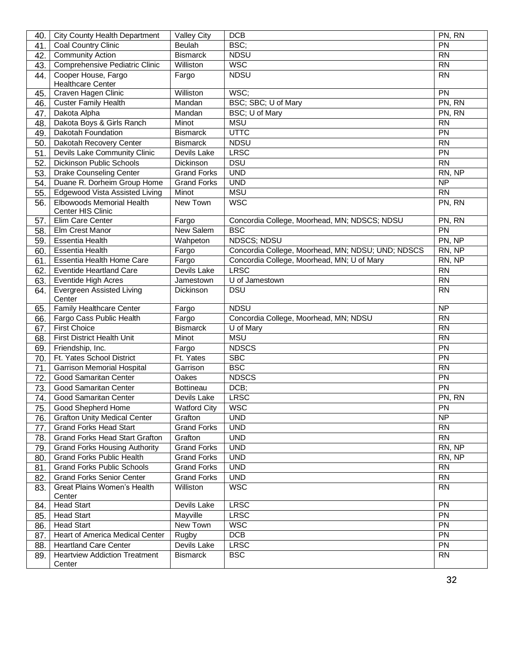| 40. | <b>City County Health Department</b>           | <b>Valley City</b>  | <b>DCB</b>                                        | PN, RN          |
|-----|------------------------------------------------|---------------------|---------------------------------------------------|-----------------|
| 41. | Coal Country Clinic                            | Beulah              | BSC;                                              | PN              |
| 42. | <b>Community Action</b>                        | <b>Bismarck</b>     | <b>NDSU</b>                                       | $\overline{RN}$ |
| 43. | Comprehensive Pediatric Clinic                 | Williston           | <b>WSC</b>                                        | <b>RN</b>       |
| 44. | Cooper House, Fargo                            | Fargo               | <b>NDSU</b>                                       | <b>RN</b>       |
|     | <b>Healthcare Center</b>                       |                     |                                                   |                 |
| 45. | Craven Hagen Clinic                            | Williston           | WSC;                                              | <b>PN</b>       |
| 46. | <b>Custer Family Health</b>                    | Mandan              | BSC; SBC; U of Mary                               | PN, RN          |
| 47. | Dakota Alpha                                   | Mandan              | BSC; U of Mary                                    | PN, RN          |
| 48. | Dakota Boys & Girls Ranch                      | Minot               | <b>MSU</b>                                        | <b>RN</b>       |
| 49. | Dakotah Foundation                             | <b>Bismarck</b>     | <b>UTTC</b>                                       | PN              |
| 50. | Dakotah Recovery Center                        | <b>Bismarck</b>     | <b>NDSU</b>                                       | $\overline{RN}$ |
| 51. | Devils Lake Community Clinic                   | Devils Lake         | <b>LRSC</b>                                       | PN              |
| 52. | <b>Dickinson Public Schools</b>                | Dickinson           | <b>DSU</b>                                        | <b>RN</b>       |
| 53. | <b>Drake Counseling Center</b>                 | <b>Grand Forks</b>  | <b>UND</b>                                        | RN, NP          |
| 54. | Duane R. Dorheim Group Home                    | <b>Grand Forks</b>  | <b>UND</b>                                        | $\overline{NP}$ |
| 55. | Edgewood Vista Assisted Living                 | Minot               | <b>MSU</b>                                        | <b>RN</b>       |
| 56. | Elbowoods Memorial Health                      | New Town            | <b>WSC</b>                                        | PN, RN          |
|     | Center HIS Clinic                              |                     |                                                   |                 |
| 57. | Elim Care Center                               | Fargo               | Concordia College, Moorhead, MN; NDSCS; NDSU      | PN, RN          |
| 58. | Elm Crest Manor                                | New Salem           | <b>BSC</b>                                        | PN              |
| 59. | <b>Essentia Health</b>                         | Wahpeton            | <b>NDSCS; NDSU</b>                                | PN, NP          |
| 60. | <b>Essentia Health</b>                         | Fargo               | Concordia College, Moorhead, MN; NDSU; UND; NDSCS | RN, NP          |
| 61. | Essentia Health Home Care                      | Fargo               | Concordia College, Moorhead, MN; U of Mary        | RN, NP          |
| 62. | <b>Eventide Heartland Care</b>                 | Devils Lake         | <b>LRSC</b>                                       | <b>RN</b>       |
| 63. | <b>Eventide High Acres</b>                     | Jamestown           | U of Jamestown                                    | <b>RN</b>       |
| 64. | Evergreen Assisted Living<br>Center            | Dickinson           | <b>DSU</b>                                        | <b>RN</b>       |
| 65. | <b>Family Healthcare Center</b>                | Fargo               | <b>NDSU</b>                                       | <b>NP</b>       |
| 66. | Fargo Cass Public Health                       | Fargo               | Concordia College, Moorhead, MN; NDSU             | <b>RN</b>       |
| 67. | <b>First Choice</b>                            | <b>Bismarck</b>     | U of Mary                                         | <b>RN</b>       |
| 68. | First District Health Unit                     | Minot               | <b>MSU</b>                                        | <b>RN</b>       |
| 69. | Friendship, Inc.                               | Fargo               | <b>NDSCS</b>                                      | $\overline{PN}$ |
| 70. | Ft. Yates School District                      | Ft. Yates           | <b>SBC</b>                                        | PN              |
| 71. | <b>Garrison Memorial Hospital</b>              | Garrison            | <b>BSC</b>                                        | <b>RN</b>       |
| 72. | <b>Good Samaritan Center</b>                   | Oakes               | <b>NDSCS</b>                                      | PN              |
| 73. | <b>Good Samaritan Center</b>                   | Bottineau           | DCB;                                              | PN              |
| 74. | Good Samaritan Center                          | Devils Lake         | <b>LRSC</b>                                       | PN, RN          |
| 75. | Good Shepherd Home                             | <b>Watford City</b> | <b>WSC</b>                                        | PN              |
| 76. | <b>Grafton Unity Medical Center</b>            | Grafton             | <b>UND</b>                                        | <b>NP</b>       |
| 77. | <b>Grand Forks Head Start</b>                  | <b>Grand Forks</b>  | <b>UND</b>                                        | <b>RN</b>       |
| 78. | <b>Grand Forks Head Start Grafton</b>          | Grafton             | <b>UND</b>                                        | <b>RN</b>       |
| 79. | <b>Grand Forks Housing Authority</b>           | <b>Grand Forks</b>  | <b>UND</b>                                        | RN, NP          |
| 80. | <b>Grand Forks Public Health</b>               | <b>Grand Forks</b>  | <b>UND</b>                                        | RN, NP          |
| 81. | <b>Grand Forks Public Schools</b>              | Grand Forks         | <b>UND</b>                                        | <b>RN</b>       |
| 82. | <b>Grand Forks Senior Center</b>               | <b>Grand Forks</b>  | <b>UND</b>                                        | <b>RN</b>       |
| 83. | Great Plains Women's Health<br>Center          | Williston           | <b>WSC</b>                                        | <b>RN</b>       |
| 84. | <b>Head Start</b>                              | Devils Lake         | <b>LRSC</b>                                       | PN              |
| 85. | <b>Head Start</b>                              | Mayville            | <b>LRSC</b>                                       | $\overline{PN}$ |
| 86. | <b>Head Start</b>                              | New Town            | <b>WSC</b>                                        | PN              |
| 87. | Heart of America Medical Center                | Rugby               | DCB                                               | PN              |
| 88. | <b>Heartland Care Center</b>                   | Devils Lake         | <b>LRSC</b>                                       | PN              |
| 89. | <b>Heartview Addiction Treatment</b><br>Center | <b>Bismarck</b>     | <b>BSC</b>                                        | <b>RN</b>       |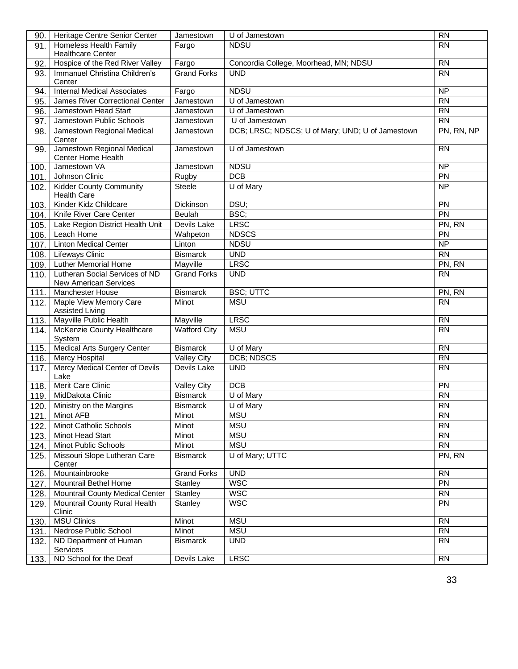| 90.  | Heritage Centre Senior Center                    | Jamestown           | U of Jamestown                                   | <b>RN</b>       |
|------|--------------------------------------------------|---------------------|--------------------------------------------------|-----------------|
| 91.  | Homeless Health Family                           | Fargo               | <b>NDSU</b>                                      | <b>RN</b>       |
|      | <b>Healthcare Center</b>                         |                     |                                                  |                 |
| 92.  | Hospice of the Red River Valley                  | Fargo               | Concordia College, Moorhead, MN; NDSU            | <b>RN</b>       |
| 93.  | Immanuel Christina Children's                    | <b>Grand Forks</b>  | <b>UND</b>                                       | <b>RN</b>       |
|      | Center                                           |                     |                                                  |                 |
| 94.  | <b>Internal Medical Associates</b>               | Fargo               | <b>NDSU</b>                                      | <b>NP</b>       |
| 95.  | James River Correctional Center                  | Jamestown           | U of Jamestown                                   | $\overline{RN}$ |
| 96.  | Jamestown Head Start                             | Jamestown           | U of Jamestown                                   | <b>RN</b>       |
| 97.  | Jamestown Public Schools                         | Jamestown           | U of Jamestown                                   | $\overline{RN}$ |
| 98.  | Jamestown Regional Medical<br>Center             | Jamestown           | DCB; LRSC; NDSCS; U of Mary; UND; U of Jamestown | PN, RN, NP      |
| 99.  | Jamestown Regional Medical<br>Center Home Health | Jamestown           | $\overline{U}$ of Jamestown                      | <b>RN</b>       |
| 100. | Jamestown VA                                     | Jamestown           | <b>NDSU</b>                                      | <b>NP</b>       |
| 101. | Johnson Clinic                                   | Rugby               | DCB                                              | PN              |
| 102. | <b>Kidder County Community</b>                   | <b>Steele</b>       | U of Mary                                        | <b>NP</b>       |
|      | <b>Health Care</b>                               |                     |                                                  |                 |
| 103. | Kinder Kidz Childcare                            | Dickinson           | DSU;                                             | PN              |
| 104. | Knife River Care Center                          | <b>Beulah</b>       | BSC;                                             | PN              |
| 105. | Lake Region District Health Unit                 | Devils Lake         | <b>LRSC</b>                                      | PN, RN          |
| 106. | Leach Home                                       | Wahpeton            | <b>NDSCS</b>                                     | PN              |
| 107. | <b>Linton Medical Center</b>                     | Linton              | <b>NDSU</b>                                      | $\overline{NP}$ |
| 108. | <b>Lifeways Clinic</b>                           | <b>Bismarck</b>     | <b>UND</b>                                       | <b>RN</b>       |
| 109. | <b>Luther Memorial Home</b>                      | Mayville            | <b>LRSC</b>                                      | PN, RN          |
| 110. | Lutheran Social Services of ND                   | <b>Grand Forks</b>  | <b>UND</b>                                       | <b>RN</b>       |
|      | <b>New American Services</b>                     |                     |                                                  |                 |
| 111. | <b>Manchester House</b>                          | <b>Bismarck</b>     | <b>BSC; UTTC</b>                                 | PN, RN          |
| 112. | Maple View Memory Care<br><b>Assisted Living</b> | Minot               | <b>MSU</b>                                       | <b>RN</b>       |
| 113. | Mayville Public Health                           | Mayville            | <b>LRSC</b>                                      | <b>RN</b>       |
| 114. | McKenzie County Healthcare<br>System             | <b>Watford City</b> | <b>MSU</b>                                       | <b>RN</b>       |
| 115. | <b>Medical Arts Surgery Center</b>               | <b>Bismarck</b>     | U of Mary                                        | <b>RN</b>       |
| 116. | Mercy Hospital                                   | <b>Valley City</b>  | <b>DCB; NDSCS</b>                                | <b>RN</b>       |
| 117. | Mercy Medical Center of Devils                   | Devils Lake         | <b>UND</b>                                       | <b>RN</b>       |
|      | Lake                                             |                     |                                                  |                 |
| 118. | Merit Care Clinic                                | <b>Valley City</b>  | DCB                                              | PN              |
| 119. | MidDakota Clinic                                 | <b>Bismarck</b>     | U of Mary                                        | $\overline{RN}$ |
| 120. | Ministry on the Margins                          | <b>Bismarck</b>     | U of Mary                                        | RN              |
| 121. | Minot AFB                                        | Minot               | <b>MSU</b>                                       | <b>RN</b>       |
| 122. | Minot Catholic Schools                           | Minot               | <b>MSU</b>                                       | <b>RN</b>       |
| 123. | Minot Head Start                                 | Minot               | <b>MSU</b>                                       | RN              |
| 124. | Minot Public Schools                             | <b>Minot</b>        | <b>MSU</b>                                       | <b>RN</b>       |
| 125. | Missouri Slope Lutheran Care<br>Center           | <b>Bismarck</b>     | U of Mary; UTTC                                  | PN, RN          |
| 126. | Mountainbrooke                                   | <b>Grand Forks</b>  | <b>UND</b>                                       | <b>RN</b>       |
| 127. | Mountrail Bethel Home                            | Stanley             | <b>WSC</b>                                       | $\overline{PN}$ |
| 128. | Mountrail County Medical Center                  | Stanley             | <b>WSC</b>                                       | <b>RN</b>       |
| 129. | Mountrail County Rural Health<br>Clinic          | Stanley             | <b>WSC</b>                                       | <b>PN</b>       |
| 130. | <b>MSU Clinics</b>                               | Minot               | <b>MSU</b>                                       | <b>RN</b>       |
| 131. | Nedrose Public School                            | Minot               | <b>MSU</b>                                       | $\overline{RN}$ |
| 132. | ND Department of Human                           | <b>Bismarck</b>     | <b>UND</b>                                       | <b>RN</b>       |
|      | Services                                         |                     |                                                  |                 |
| 133. | ND School for the Deaf                           | Devils Lake         | <b>LRSC</b>                                      | <b>RN</b>       |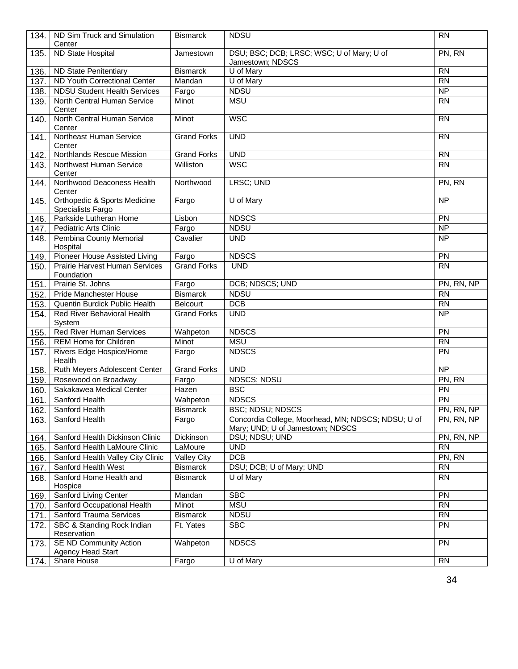| 134. | ND Sim Truck and Simulation<br>Center                        | <b>Bismarck</b>    | <b>NDSU</b>                                                                            | <b>RN</b>       |
|------|--------------------------------------------------------------|--------------------|----------------------------------------------------------------------------------------|-----------------|
| 135. | <b>ND State Hospital</b>                                     | Jamestown          | DSU; BSC; DCB; LRSC; WSC; U of Mary; U of<br>Jamestown; NDSCS                          | PN, RN          |
| 136. | <b>ND State Penitentiary</b>                                 | <b>Bismarck</b>    | U of Mary                                                                              | <b>RN</b>       |
| 137. | <b>ND Youth Correctional Center</b>                          | Mandan             | U of Mary                                                                              | <b>RN</b>       |
| 138. | <b>NDSU Student Health Services</b>                          | Fargo              | <b>NDSU</b>                                                                            | $\overline{NP}$ |
| 139. | North Central Human Service<br>Center                        | Minot              | <b>MSU</b>                                                                             | <b>RN</b>       |
| 140. | North Central Human Service<br>Center                        | Minot              | <b>WSC</b>                                                                             | $\overline{RN}$ |
| 141. | Northeast Human Service<br>Center                            | <b>Grand Forks</b> | <b>UND</b>                                                                             | <b>RN</b>       |
| 142. | Northlands Rescue Mission                                    | <b>Grand Forks</b> | <b>UND</b>                                                                             | <b>RN</b>       |
| 143. | Northwest Human Service<br>Center                            | Williston          | <b>WSC</b>                                                                             | <b>RN</b>       |
| 144. | Northwood Deaconess Health<br>Center                         | Northwood          | LRSC; UND                                                                              | PN, RN          |
| 145. | <b>Orthopedic &amp; Sports Medicine</b><br>Specialists Fargo | Fargo              | U of Mary                                                                              | $\overline{NP}$ |
| 146. | Parkside Lutheran Home                                       | Lisbon             | <b>NDSCS</b>                                                                           | $\overline{PN}$ |
| 147. | <b>Pediatric Arts Clinic</b>                                 | Fargo              | <b>NDSU</b>                                                                            | $\overline{NP}$ |
| 148. | Pembina County Memorial<br>Hospital                          | Cavalier           | <b>UND</b>                                                                             | <b>NP</b>       |
| 149. | Pioneer House Assisted Living                                | Fargo              | <b>NDSCS</b>                                                                           | $\overline{PN}$ |
| 150. | Prairie Harvest Human Services<br>Foundation                 | <b>Grand Forks</b> | <b>UND</b>                                                                             | <b>RN</b>       |
| 151. | Prairie St. Johns                                            | Fargo              | DCB; NDSCS; UND                                                                        | PN, RN, NP      |
| 152. | Pride Manchester House                                       | <b>Bismarck</b>    | <b>NDSU</b>                                                                            | <b>RN</b>       |
| 153. | Quentin Burdick Public Health                                | <b>Belcourt</b>    | DCB                                                                                    | <b>RN</b>       |
| 154. | Red River Behavioral Health<br>System                        | <b>Grand Forks</b> | <b>UND</b>                                                                             | <b>NP</b>       |
| 155. | <b>Red River Human Services</b>                              | Wahpeton           | <b>NDSCS</b>                                                                           | $\overline{PN}$ |
| 156. | REM Home for Children                                        | Minot              | <b>MSU</b>                                                                             | <b>RN</b>       |
| 157. | Rivers Edge Hospice/Home<br>Health                           | Fargo              | <b>NDSCS</b>                                                                           | PN              |
| 158. | Ruth Meyers Adolescent Center                                | <b>Grand Forks</b> | <b>UND</b>                                                                             | <b>NP</b>       |
| 159. | Rosewood on Broadway                                         | Fargo              | <b>NDSCS; NDSU</b>                                                                     | PN, RN          |
| 160. | Sakakawea Medical Center                                     | Hazen              | <b>BSC</b>                                                                             | PN              |
| 161. | Sanford Health                                               | Wahpeton           | <b>NDSCS</b>                                                                           | PN              |
| 162. | Sanford Health                                               | <b>Bismarck</b>    | <b>BSC; NDSU; NDSCS</b>                                                                | PN, RN, NP      |
| 163. | Sanford Health                                               | Fargo              | Concordia College, Moorhead, MN; NDSCS; NDSU; U of<br>Mary; UND; U of Jamestown; NDSCS | PN, RN, NP      |
| 164. | Sanford Health Dickinson Clinic                              | Dickinson          | DSU; NDSU; UND                                                                         | PN, RN, NP      |
| 165. | Sanford Health LaMoure Clinic                                | LaMoure            | <b>UND</b>                                                                             | <b>RN</b>       |
| 166. | Sanford Health Valley City Clinic                            | <b>Valley City</b> | DCB                                                                                    | PN, RN          |
| 167. | Sanford Health West                                          | <b>Bismarck</b>    | DSU; DCB; U of Mary; UND                                                               | <b>RN</b>       |
| 168. | Sanford Home Health and<br>Hospice                           | <b>Bismarck</b>    | U of Mary                                                                              | <b>RN</b>       |
| 169. | Sanford Living Center                                        | Mandan             | <b>SBC</b>                                                                             | PN              |
| 170. | Sanford Occupational Health                                  | Minot              | <b>MSU</b>                                                                             | <b>RN</b>       |
| 171. | Sanford Trauma Services                                      | <b>Bismarck</b>    | <b>NDSU</b>                                                                            | <b>RN</b>       |
| 172. | SBC & Standing Rock Indian<br>Reservation                    | Ft. Yates          | <b>SBC</b>                                                                             | PN              |
| 173. | <b>SE ND Community Action</b><br><b>Agency Head Start</b>    | Wahpeton           | <b>NDSCS</b>                                                                           | <b>PN</b>       |
| 174. | Share House                                                  | Fargo              | U of Mary                                                                              | <b>RN</b>       |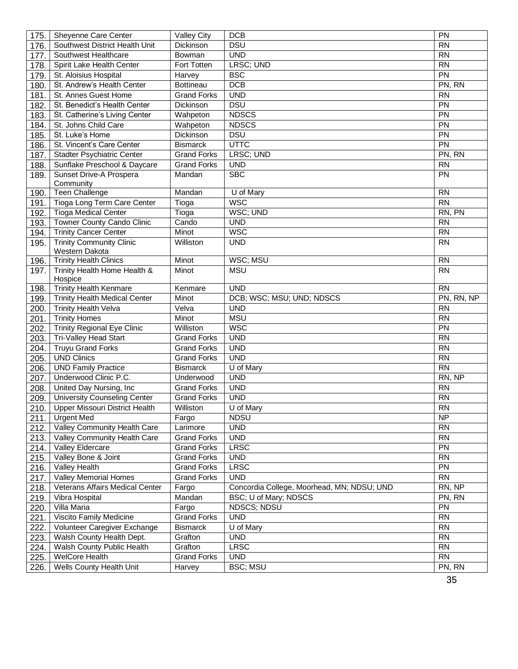| 175. | Sheyenne Care Center                    | Valley City        | <b>DCB</b>                                 | PN              |
|------|-----------------------------------------|--------------------|--------------------------------------------|-----------------|
| 176. | Southwest District Health Unit          | Dickinson          | <b>DSU</b>                                 | <b>RN</b>       |
| 177. | Southwest Healthcare                    | Bowman             | <b>UND</b>                                 | $\overline{RN}$ |
| 178. | Spirit Lake Health Center               | Fort Totten        | LRSC; UND                                  | <b>RN</b>       |
| 179. | St. Aloisius Hospital                   | Harvey             | <b>BSC</b>                                 | PN              |
| 180. | St. Andrew's Health Center              | <b>Bottineau</b>   | <b>DCB</b>                                 | PN, RN          |
| 181. | St. Annes Guest Home                    | <b>Grand Forks</b> | <b>UND</b>                                 | <b>RN</b>       |
| 182. | St. Benedict's Health Center            | Dickinson          | <b>DSU</b>                                 | PN              |
| 183. | St. Catherine's Living Center           | Wahpeton           | <b>NDSCS</b>                               | $\overline{PN}$ |
| 184  | St. Johns Child Care                    | Wahpeton           | <b>NDSCS</b>                               | $\overline{PN}$ |
| 185. | St. Luke's Home                         | Dickinson          | <b>DSU</b>                                 | <b>PN</b>       |
| 186. | St. Vincent's Care Center               | <b>Bismarck</b>    | UTTC                                       | $\overline{PN}$ |
| 187. | Stadter Psychiatric Center              | <b>Grand Forks</b> | LRSC; UND                                  | PN, RN          |
| 188. | Sunflake Preschool & Daycare            | <b>Grand Forks</b> | <b>UND</b>                                 | <b>RN</b>       |
| 189. | Sunset Drive-A Prospera                 | Mandan             | <b>SBC</b>                                 | PN              |
|      | Community                               |                    |                                            |                 |
| 190. | Teen Challenge                          | Mandan             | U of Mary                                  | <b>RN</b>       |
| 191. | Tioga Long Term Care Center             | Tioga              | <b>WSC</b>                                 | $\overline{RN}$ |
| 192. | <b>Tioga Medical Center</b>             | Tioga              | WSC; UND                                   | RN, PN          |
| 193. | <b>Towner County Cando Clinic</b>       | Cando              | <b>UND</b>                                 | <b>RN</b>       |
| 194. | <b>Trinity Cancer Center</b>            | Minot              | <b>WSC</b>                                 | <b>RN</b>       |
| 195. | <b>Trinity Community Clinic</b>         | Williston          | <b>UND</b>                                 | <b>RN</b>       |
|      | Western Dakota                          |                    |                                            |                 |
| 196. | <b>Trinity Health Clinics</b>           | Minot              | WSC; MSU                                   | <b>RN</b>       |
| 197. | Trinity Health Home Health &<br>Hospice | Minot              | <b>MSU</b>                                 | <b>RN</b>       |
| 198. | <b>Trinity Health Kenmare</b>           | Kenmare            | <b>UND</b>                                 | <b>RN</b>       |
| 199. | <b>Trinity Health Medical Center</b>    | Minot              | DCB; WSC; MSU; UND; NDSCS                  | PN, RN, NP      |
| 200. | <b>Trinity Health Velva</b>             | Velva              | <b>UND</b>                                 | <b>RN</b>       |
| 201. | <b>Trinity Homes</b>                    | Minot              | <b>MSU</b>                                 | <b>RN</b>       |
| 202. | <b>Trinity Regional Eye Clinic</b>      | Williston          | <b>WSC</b>                                 | PN              |
| 203. | Tri-Valley Head Start                   | Grand Forks        | <b>UND</b>                                 | <b>RN</b>       |
| 204. | <b>Truyu Grand Forks</b>                | <b>Grand Forks</b> | <b>UND</b>                                 | $\overline{RN}$ |
| 205. | <b>UND Clinics</b>                      | <b>Grand Forks</b> | <b>UND</b>                                 | <b>RN</b>       |
| 206  | <b>UND Family Practice</b>              | <b>Bismarck</b>    | U of Mary                                  | <b>RN</b>       |
| 207. | Underwood Clinic P.C.                   | Underwood          | <b>UND</b>                                 | RN, NP          |
| 208. | United Day Nursing, Inc.                | <b>Grand Forks</b> | <b>UND</b>                                 | <b>RN</b>       |
| 209. | <b>University Counseling Center</b>     | <b>Grand Forks</b> | <b>UND</b>                                 | <b>RN</b>       |
|      | 210. Upper Missouri District Health     | Williston          | U of Mary                                  | <b>RN</b>       |
| 211. | <b>Urgent Med</b>                       | Fargo              | <b>NDSU</b>                                | <b>NP</b>       |
|      | 212. Valley Community Health Care       | Larimore           | <b>UND</b>                                 | <b>RN</b>       |
|      | 213. Valley Community Health Care       | <b>Grand Forks</b> | <b>UND</b>                                 | <b>RN</b>       |
| 214. | Valley Eldercare                        | <b>Grand Forks</b> | <b>LRSC</b>                                | <b>PN</b>       |
| 215. | Valley Bone & Joint                     | <b>Grand Forks</b> | <b>UND</b>                                 | <b>RN</b>       |
| 216. | <b>Valley Health</b>                    | <b>Grand Forks</b> | <b>LRSC</b>                                | <b>PN</b>       |
| 217. | <b>Valley Memorial Homes</b>            | <b>Grand Forks</b> | <b>UND</b>                                 | $\overline{RN}$ |
| 218. | Veterans Affairs Medical Center         | Fargo              | Concordia College, Moorhead, MN; NDSU; UND | RN, NP          |
| 219. | Vibra Hospital                          | Mandan             | BSC; U of Mary; NDSCS                      | PN, RN          |
| 220. | Villa Maria                             | Fargo              | NDSCS; NDSU                                | PN              |
| 221. | Viscito Family Medicine                 | <b>Grand Forks</b> | <b>UND</b>                                 | <b>RN</b>       |
| 222. | Volunteer Caregiver Exchange            | <b>Bismarck</b>    | U of Mary                                  | <b>RN</b>       |
| 223. | Walsh County Health Dept.               | Grafton            | <b>UND</b>                                 | <b>RN</b>       |
| 224. | Walsh County Public Health              | Grafton            | <b>LRSC</b>                                | <b>RN</b>       |
| 225. | <b>WelCore Health</b>                   | <b>Grand Forks</b> | <b>UND</b>                                 | <b>RN</b>       |
| 226. | Wells County Health Unit                | Harvey             | <b>BSC; MSU</b>                            | PN, RN          |
|      |                                         |                    |                                            | 35              |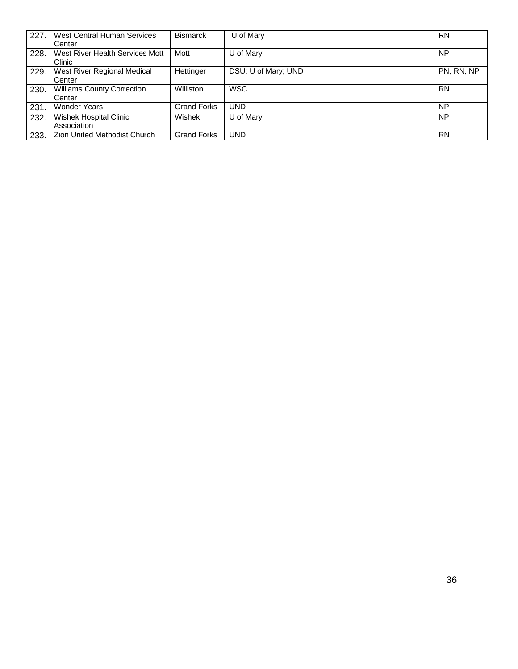| 227. | West Central Human Services<br>Center       | <b>Bismarck</b>    | U of Mary           | <b>RN</b>  |
|------|---------------------------------------------|--------------------|---------------------|------------|
| 228. | West River Health Services Mott<br>Clinic   | Mott               | U of Mary           | <b>NP</b>  |
| 229. | West River Regional Medical<br>Center       | Hettinger          | DSU; U of Mary; UND | PN, RN, NP |
| 230. | <b>Williams County Correction</b><br>Center | Williston          | <b>WSC</b>          | <b>RN</b>  |
| 231. | <b>Wonder Years</b>                         | <b>Grand Forks</b> | <b>UND</b>          | <b>NP</b>  |
| 232. | Wishek Hospital Clinic<br>Association       | <b>Wishek</b>      | U of Mary           | <b>NP</b>  |
| 233. | <b>Zion United Methodist Church</b>         | <b>Grand Forks</b> | <b>UND</b>          | <b>RN</b>  |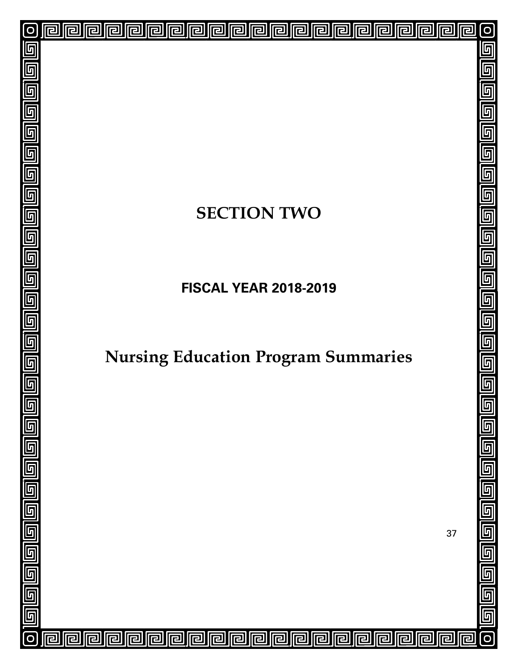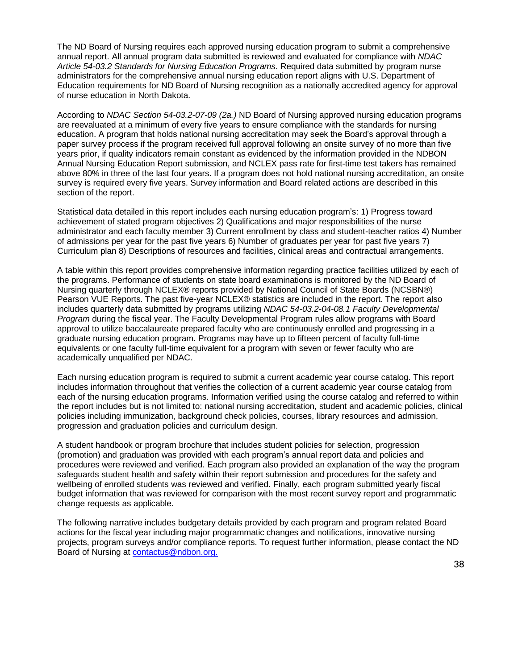The ND Board of Nursing requires each approved nursing education program to submit a comprehensive annual report. All annual program data submitted is reviewed and evaluated for compliance with *NDAC Article 54-03.2 Standards for Nursing Education Programs*. Required data submitted by program nurse administrators for the comprehensive annual nursing education report aligns with U.S. Department of Education requirements for ND Board of Nursing recognition as a nationally accredited agency for approval of nurse education in North Dakota.

According to *NDAC Section 54-03.2-07-09 (2a.)* ND Board of Nursing approved nursing education programs are reevaluated at a minimum of every five years to ensure compliance with the standards for nursing education. A program that holds national nursing accreditation may seek the Board's approval through a paper survey process if the program received full approval following an onsite survey of no more than five years prior, if quality indicators remain constant as evidenced by the information provided in the NDBON Annual Nursing Education Report submission, and NCLEX pass rate for first-time test takers has remained above 80% in three of the last four years. If a program does not hold national nursing accreditation, an onsite survey is required every five years. Survey information and Board related actions are described in this section of the report.

Statistical data detailed in this report includes each nursing education program's: 1) Progress toward achievement of stated program objectives 2) Qualifications and major responsibilities of the nurse administrator and each faculty member 3) Current enrollment by class and student-teacher ratios 4) Number of admissions per year for the past five years 6) Number of graduates per year for past five years 7) Curriculum plan 8) Descriptions of resources and facilities, clinical areas and contractual arrangements.

A table within this report provides comprehensive information regarding practice facilities utilized by each of the programs. Performance of students on state board examinations is monitored by the ND Board of Nursing quarterly through NCLEX® reports provided by National Council of State Boards (NCSBN®) Pearson VUE Reports. The past five-year NCLEX® statistics are included in the report. The report also includes quarterly data submitted by programs utilizing *NDAC 54-03.2-04-08.1 Faculty Developmental Program* during the fiscal year. The Faculty Developmental Program rules allow programs with Board approval to utilize baccalaureate prepared faculty who are continuously enrolled and progressing in a graduate nursing education program. Programs may have up to fifteen percent of faculty full-time equivalents or one faculty full-time equivalent for a program with seven or fewer faculty who are academically unqualified per NDAC.

Each nursing education program is required to submit a current academic year course catalog. This report includes information throughout that verifies the collection of a current academic year course catalog from each of the nursing education programs. Information verified using the course catalog and referred to within the report includes but is not limited to: national nursing accreditation, student and academic policies, clinical policies including immunization, background check policies, courses, library resources and admission, progression and graduation policies and curriculum design.

A student handbook or program brochure that includes student policies for selection, progression (promotion) and graduation was provided with each program's annual report data and policies and procedures were reviewed and verified. Each program also provided an explanation of the way the program safeguards student health and safety within their report submission and procedures for the safety and wellbeing of enrolled students was reviewed and verified. Finally, each program submitted yearly fiscal budget information that was reviewed for comparison with the most recent survey report and programmatic change requests as applicable.

The following narrative includes budgetary details provided by each program and program related Board actions for the fiscal year including major programmatic changes and notifications, innovative nursing projects, program surveys and/or compliance reports. To request further information, please contact the ND Board of Nursing a[t contactus@ndbon.org.](mailto:contactus@NDBON.org)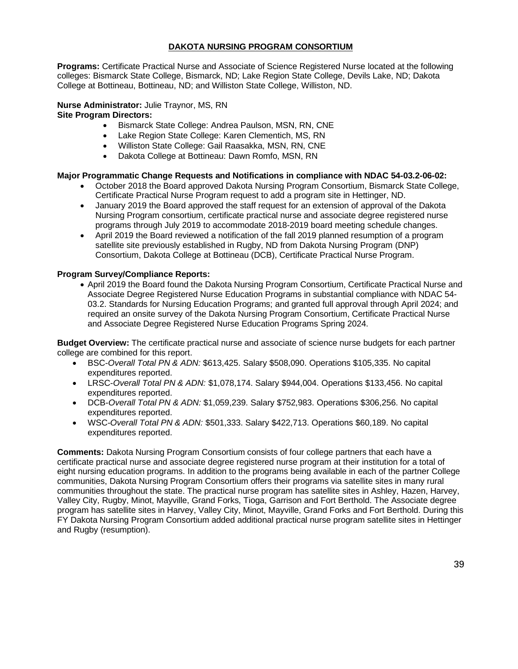### **DAKOTA NURSING PROGRAM CONSORTIUM**

**Programs:** Certificate Practical Nurse and Associate of Science Registered Nurse located at the following colleges: Bismarck State College, Bismarck, ND; Lake Region State College, Devils Lake, ND; Dakota College at Bottineau, Bottineau, ND; and Williston State College, Williston, ND.

#### **Nurse Administrator:** Julie Traynor, MS, RN **Site Program Directors:**

- Bismarck State College: Andrea Paulson, MSN, RN, CNE
- Lake Region State College: Karen Clementich, MS, RN
- Williston State College: Gail Raasakka, MSN, RN, CNE
- Dakota College at Bottineau: Dawn Romfo, MSN, RN

### **Major Programmatic Change Requests and Notifications in compliance with NDAC 54-03.2-06-02:**

- October 2018 the Board approved Dakota Nursing Program Consortium, Bismarck State College, Certificate Practical Nurse Program request to add a program site in Hettinger, ND.
- January 2019 the Board approved the staff request for an extension of approval of the Dakota Nursing Program consortium, certificate practical nurse and associate degree registered nurse programs through July 2019 to accommodate 2018-2019 board meeting schedule changes.
- April 2019 the Board reviewed a notification of the fall 2019 planned resumption of a program satellite site previously established in Rugby, ND from Dakota Nursing Program (DNP) Consortium, Dakota College at Bottineau (DCB), Certificate Practical Nurse Program.

### **Program Survey/Compliance Reports:**

• April 2019 the Board found the Dakota Nursing Program Consortium, Certificate Practical Nurse and Associate Degree Registered Nurse Education Programs in substantial compliance with NDAC 54- 03.2. Standards for Nursing Education Programs; and granted full approval through April 2024; and required an onsite survey of the Dakota Nursing Program Consortium, Certificate Practical Nurse and Associate Degree Registered Nurse Education Programs Spring 2024.

**Budget Overview:** The certificate practical nurse and associate of science nurse budgets for each partner college are combined for this report.

- BSC-*Overall Total PN & ADN:* \$613,425. Salary \$508,090. Operations \$105,335. No capital expenditures reported.
- LRSC-*Overall Total PN & ADN:* \$1,078,174. Salary \$944,004. Operations \$133,456. No capital expenditures reported.
- DCB-*Overall Total PN & ADN:* \$1,059,239. Salary \$752,983. Operations \$306,256. No capital expenditures reported.
- WSC-*Overall Total PN & ADN:* \$501,333. Salary \$422,713. Operations \$60,189. No capital expenditures reported.

**Comments:** Dakota Nursing Program Consortium consists of four college partners that each have a certificate practical nurse and associate degree registered nurse program at their institution for a total of eight nursing education programs. In addition to the programs being available in each of the partner College communities, Dakota Nursing Program Consortium offers their programs via satellite sites in many rural communities throughout the state. The practical nurse program has satellite sites in Ashley, Hazen, Harvey, Valley City, Rugby, Minot, Mayville, Grand Forks, Tioga, Garrison and Fort Berthold. The Associate degree program has satellite sites in Harvey, Valley City, Minot, Mayville, Grand Forks and Fort Berthold. During this FY Dakota Nursing Program Consortium added additional practical nurse program satellite sites in Hettinger and Rugby (resumption).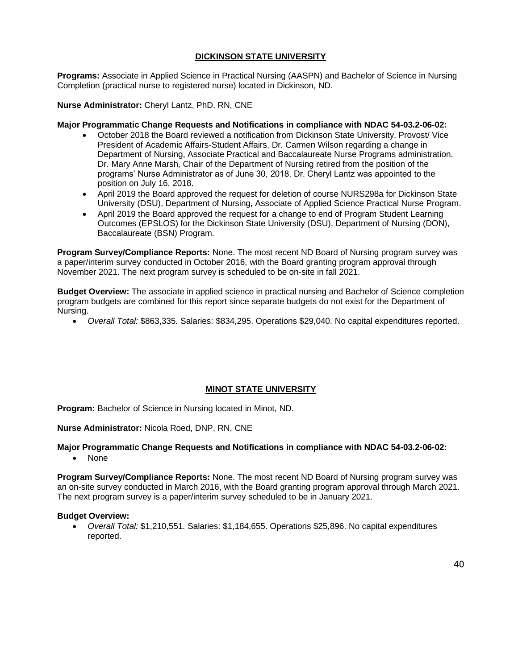### **DICKINSON STATE UNIVERSITY**

**Programs:** Associate in Applied Science in Practical Nursing (AASPN) and Bachelor of Science in Nursing Completion (practical nurse to registered nurse) located in Dickinson, ND.

**Nurse Administrator:** Cheryl Lantz, PhD, RN, CNE

#### **Major Programmatic Change Requests and Notifications in compliance with NDAC 54-03.2-06-02:**

- October 2018 the Board reviewed a notification from Dickinson State University, Provost/ Vice President of Academic Affairs-Student Affairs, Dr. Carmen Wilson regarding a change in Department of Nursing, Associate Practical and Baccalaureate Nurse Programs administration. Dr. Mary Anne Marsh, Chair of the Department of Nursing retired from the position of the programs' Nurse Administrator as of June 30, 2018. Dr. Cheryl Lantz was appointed to the position on July 16, 2018.
- April 2019 the Board approved the request for deletion of course NURS298a for Dickinson State University (DSU), Department of Nursing, Associate of Applied Science Practical Nurse Program.
- April 2019 the Board approved the request for a change to end of Program Student Learning Outcomes (EPSLOS) for the Dickinson State University (DSU), Department of Nursing (DON), Baccalaureate (BSN) Program.

**Program Survey/Compliance Reports:** None. The most recent ND Board of Nursing program survey was a paper/interim survey conducted in October 2016, with the Board granting program approval through November 2021. The next program survey is scheduled to be on-site in fall 2021.

**Budget Overview:** The associate in applied science in practical nursing and Bachelor of Science completion program budgets are combined for this report since separate budgets do not exist for the Department of Nursing.

• *Overall Total:* \$863,335. Salaries: \$834,295. Operations \$29,040. No capital expenditures reported.

### **MINOT STATE UNIVERSITY**

**Program:** Bachelor of Science in Nursing located in Minot, ND.

**Nurse Administrator:** Nicola Roed, DNP, RN, CNE

### **Major Programmatic Change Requests and Notifications in compliance with NDAC 54-03.2-06-02:**

• None

**Program Survey/Compliance Reports:** None. The most recent ND Board of Nursing program survey was an on-site survey conducted in March 2016, with the Board granting program approval through March 2021. The next program survey is a paper/interim survey scheduled to be in January 2021.

#### **Budget Overview:**

• *Overall Total:* \$1,210,551. Salaries: \$1,184,655. Operations \$25,896. No capital expenditures reported.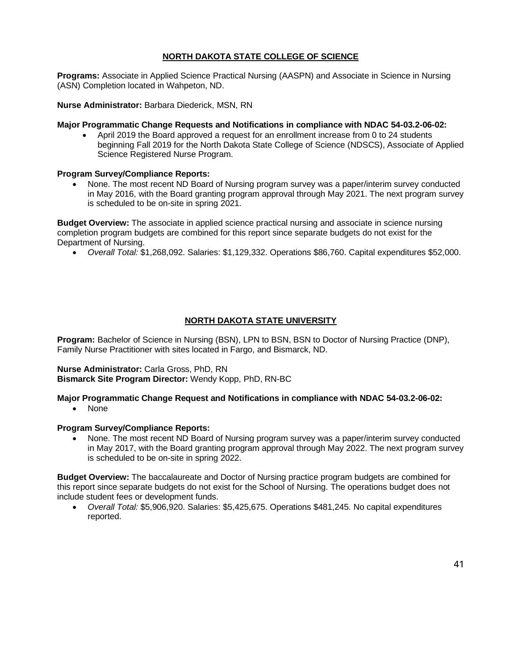### **NORTH DAKOTA STATE COLLEGE OF SCIENCE**

**Programs:** Associate in Applied Science Practical Nursing (AASPN) and Associate in Science in Nursing (ASN) Completion located in Wahpeton, ND.

**Nurse Administrator:** Barbara Diederick, MSN, RN

#### **Major Programmatic Change Requests and Notifications in compliance with NDAC 54-03.2-06-02:**

• April 2019 the Board approved a request for an enrollment increase from 0 to 24 students beginning Fall 2019 for the North Dakota State College of Science (NDSCS), Associate of Applied Science Registered Nurse Program.

#### **Program Survey/Compliance Reports:**

• None. The most recent ND Board of Nursing program survey was a paper/interim survey conducted in May 2016, with the Board granting program approval through May 2021. The next program survey is scheduled to be on-site in spring 2021.

**Budget Overview:** The associate in applied science practical nursing and associate in science nursing completion program budgets are combined for this report since separate budgets do not exist for the Department of Nursing.

• *Overall Total:* \$1,268,092. Salaries: \$1,129,332. Operations \$86,760. Capital expenditures \$52,000.

### **NORTH DAKOTA STATE UNIVERSITY**

**Program:** Bachelor of Science in Nursing (BSN), LPN to BSN, BSN to Doctor of Nursing Practice (DNP), Family Nurse Practitioner with sites located in Fargo, and Bismarck, ND.

#### **Nurse Administrator:** Carla Gross, PhD, RN **Bismarck Site Program Director:** Wendy Kopp, PhD, RN-BC

#### **Major Programmatic Change Request and Notifications in compliance with NDAC 54-03.2-06-02:**

• None

#### **Program Survey/Compliance Reports:**

• None. The most recent ND Board of Nursing program survey was a paper/interim survey conducted in May 2017, with the Board granting program approval through May 2022. The next program survey is scheduled to be on-site in spring 2022.

**Budget Overview:** The baccalaureate and Doctor of Nursing practice program budgets are combined for this report since separate budgets do not exist for the School of Nursing. The operations budget does not include student fees or development funds.

• *Overall Total:* \$5,906,920. Salaries: \$5,425,675. Operations \$481,245. No capital expenditures reported.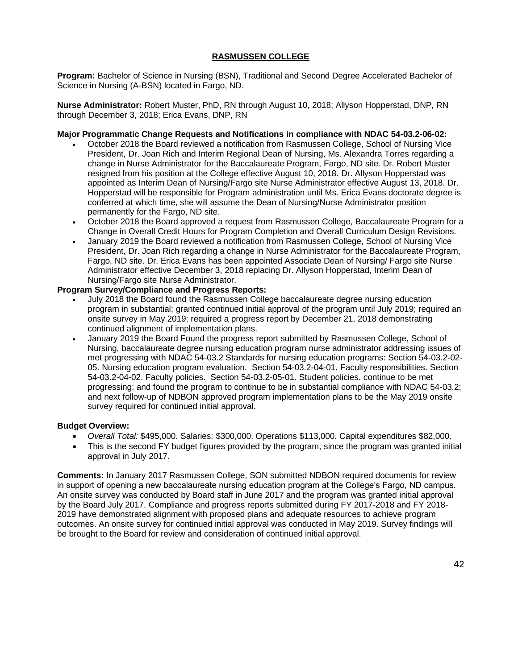### **RASMUSSEN COLLEGE**

**Program:** Bachelor of Science in Nursing (BSN), Traditional and Second Degree Accelerated Bachelor of Science in Nursing (A-BSN) located in Fargo, ND.

**Nurse Administrator:** Robert Muster, PhD, RN through August 10, 2018; Allyson Hopperstad, DNP, RN through December 3, 2018; Erica Evans, DNP, RN

### **Major Programmatic Change Requests and Notifications in compliance with NDAC 54-03.2-06-02:**

- October 2018 the Board reviewed a notification from Rasmussen College, School of Nursing Vice President, Dr. Joan Rich and Interim Regional Dean of Nursing, Ms. Alexandra Torres regarding a change in Nurse Administrator for the Baccalaureate Program, Fargo, ND site. Dr. Robert Muster resigned from his position at the College effective August 10, 2018. Dr. Allyson Hopperstad was appointed as Interim Dean of Nursing/Fargo site Nurse Administrator effective August 13, 2018. Dr. Hopperstad will be responsible for Program administration until Ms. Erica Evans doctorate degree is conferred at which time, she will assume the Dean of Nursing/Nurse Administrator position permanently for the Fargo, ND site.
- October 2018 the Board approved a request from Rasmussen College, Baccalaureate Program for a Change in Overall Credit Hours for Program Completion and Overall Curriculum Design Revisions.
- January 2019 the Board reviewed a notification from Rasmussen College, School of Nursing Vice President, Dr. Joan Rich regarding a change in Nurse Administrator for the Baccalaureate Program, Fargo, ND site. Dr. Erica Evans has been appointed Associate Dean of Nursing/ Fargo site Nurse Administrator effective December 3, 2018 replacing Dr. Allyson Hopperstad, Interim Dean of Nursing/Fargo site Nurse Administrator.

#### **Program Survey/Compliance and Progress Reports:**

- July 2018 the Board found the Rasmussen College baccalaureate degree nursing education program in substantial; granted continued initial approval of the program until July 2019; required an onsite survey in May 2019; required a progress report by December 21, 2018 demonstrating continued alignment of implementation plans.
- January 2019 the Board Found the progress report submitted by Rasmussen College, School of Nursing, baccalaureate degree nursing education program nurse administrator addressing issues of met progressing with NDAC 54-03.2 Standards for nursing education programs: Section 54-03.2-02- 05. Nursing education program evaluation. Section 54-03.2-04-01. Faculty responsibilities. Section 54-03.2-04-02. Faculty policies. Section 54-03.2-05-01. Student policies. continue to be met progressing; and found the program to continue to be in substantial compliance with NDAC 54-03.2; and next follow-up of NDBON approved program implementation plans to be the May 2019 onsite survey required for continued initial approval.

#### **Budget Overview:**

- *Overall Total:* \$495,000. Salaries: \$300,000. Operations \$113,000. Capital expenditures \$82,000.
- This is the second FY budget figures provided by the program, since the program was granted initial approval in July 2017.

**Comments:** In January 2017 Rasmussen College, SON submitted NDBON required documents for review in support of opening a new baccalaureate nursing education program at the College's Fargo, ND campus. An onsite survey was conducted by Board staff in June 2017 and the program was granted initial approval by the Board July 2017. Compliance and progress reports submitted during FY 2017-2018 and FY 2018- 2019 have demonstrated alignment with proposed plans and adequate resources to achieve program outcomes. An onsite survey for continued initial approval was conducted in May 2019. Survey findings will be brought to the Board for review and consideration of continued initial approval.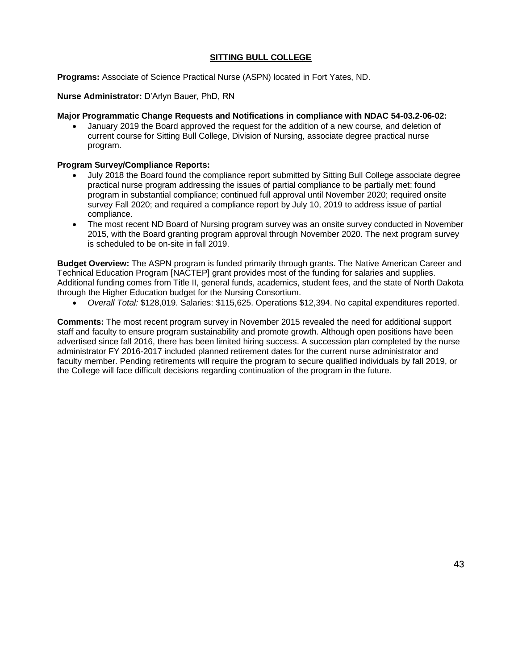### **SITTING BULL COLLEGE**

**Programs:** Associate of Science Practical Nurse (ASPN) located in Fort Yates, ND.

**Nurse Administrator:** D'Arlyn Bauer, PhD, RN

#### **Major Programmatic Change Requests and Notifications in compliance with NDAC 54-03.2-06-02:**

• January 2019 the Board approved the request for the addition of a new course, and deletion of current course for Sitting Bull College, Division of Nursing, associate degree practical nurse program.

#### **Program Survey/Compliance Reports:**

- July 2018 the Board found the compliance report submitted by Sitting Bull College associate degree practical nurse program addressing the issues of partial compliance to be partially met; found program in substantial compliance; continued full approval until November 2020; required onsite survey Fall 2020; and required a compliance report by July 10, 2019 to address issue of partial compliance.
- The most recent ND Board of Nursing program survey was an onsite survey conducted in November 2015, with the Board granting program approval through November 2020. The next program survey is scheduled to be on-site in fall 2019.

**Budget Overview:** The ASPN program is funded primarily through grants. The Native American Career and Technical Education Program [NACTEP] grant provides most of the funding for salaries and supplies. Additional funding comes from Title II, general funds, academics, student fees, and the state of North Dakota through the Higher Education budget for the Nursing Consortium.

• *Overall Total:* \$128,019. Salaries: \$115,625. Operations \$12,394. No capital expenditures reported.

**Comments:** The most recent program survey in November 2015 revealed the need for additional support staff and faculty to ensure program sustainability and promote growth. Although open positions have been advertised since fall 2016, there has been limited hiring success. A succession plan completed by the nurse administrator FY 2016-2017 included planned retirement dates for the current nurse administrator and faculty member. Pending retirements will require the program to secure qualified individuals by fall 2019, or the College will face difficult decisions regarding continuation of the program in the future.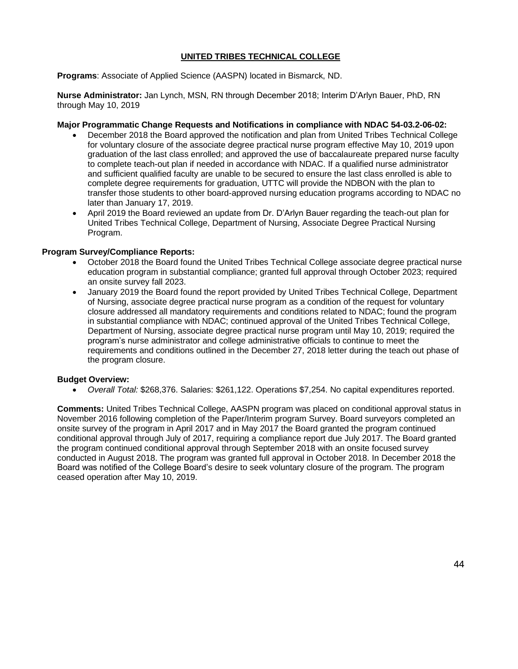### **UNITED TRIBES TECHNICAL COLLEGE**

**Programs**: Associate of Applied Science (AASPN) located in Bismarck, ND.

**Nurse Administrator:** Jan Lynch, MSN, RN through December 2018; Interim D'Arlyn Bauer, PhD, RN through May 10, 2019

#### **Major Programmatic Change Requests and Notifications in compliance with NDAC 54-03.2-06-02:**

- December 2018 the Board approved the notification and plan from United Tribes Technical College for voluntary closure of the associate degree practical nurse program effective May 10, 2019 upon graduation of the last class enrolled; and approved the use of baccalaureate prepared nurse faculty to complete teach-out plan if needed in accordance with NDAC. If a qualified nurse administrator and sufficient qualified faculty are unable to be secured to ensure the last class enrolled is able to complete degree requirements for graduation, UTTC will provide the NDBON with the plan to transfer those students to other board-approved nursing education programs according to NDAC no later than January 17, 2019.
- April 2019 the Board reviewed an update from Dr. D'Arlyn Bauer regarding the teach-out plan for United Tribes Technical College, Department of Nursing, Associate Degree Practical Nursing Program.

#### **Program Survey/Compliance Reports:**

- October 2018 the Board found the United Tribes Technical College associate degree practical nurse education program in substantial compliance; granted full approval through October 2023; required an onsite survey fall 2023.
- January 2019 the Board found the report provided by United Tribes Technical College, Department of Nursing, associate degree practical nurse program as a condition of the request for voluntary closure addressed all mandatory requirements and conditions related to NDAC; found the program in substantial compliance with NDAC; continued approval of the United Tribes Technical College, Department of Nursing, associate degree practical nurse program until May 10, 2019; required the program's nurse administrator and college administrative officials to continue to meet the requirements and conditions outlined in the December 27, 2018 letter during the teach out phase of the program closure.

#### **Budget Overview:**

• *Overall Total:* \$268,376. Salaries: \$261,122. Operations \$7,254. No capital expenditures reported.

**Comments:** United Tribes Technical College, AASPN program was placed on conditional approval status in November 2016 following completion of the Paper/Interim program Survey. Board surveyors completed an onsite survey of the program in April 2017 and in May 2017 the Board granted the program continued conditional approval through July of 2017, requiring a compliance report due July 2017. The Board granted the program continued conditional approval through September 2018 with an onsite focused survey conducted in August 2018. The program was granted full approval in October 2018. In December 2018 the Board was notified of the College Board's desire to seek voluntary closure of the program. The program ceased operation after May 10, 2019.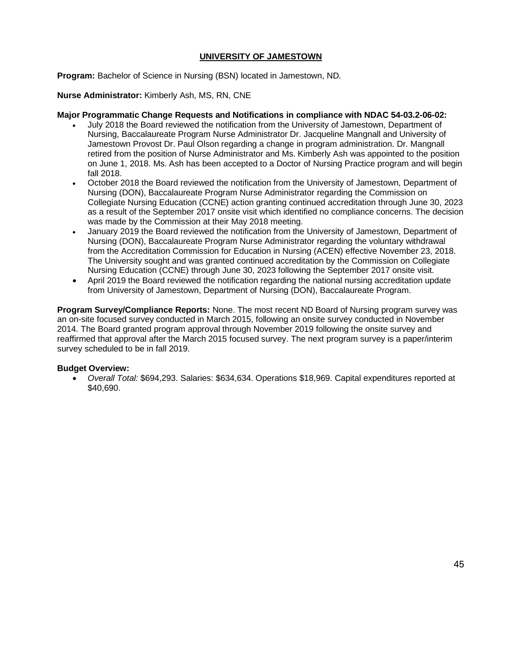### **UNIVERSITY OF JAMESTOWN**

**Program:** Bachelor of Science in Nursing (BSN) located in Jamestown, ND.

**Nurse Administrator:** Kimberly Ash, MS, RN, CNE

#### **Major Programmatic Change Requests and Notifications in compliance with NDAC 54-03.2-06-02:**

- July 2018 the Board reviewed the notification from the University of Jamestown, Department of Nursing, Baccalaureate Program Nurse Administrator Dr. Jacqueline Mangnall and University of Jamestown Provost Dr. Paul Olson regarding a change in program administration. Dr. Mangnall retired from the position of Nurse Administrator and Ms. Kimberly Ash was appointed to the position on June 1, 2018. Ms. Ash has been accepted to a Doctor of Nursing Practice program and will begin fall 2018.
- October 2018 the Board reviewed the notification from the University of Jamestown, Department of Nursing (DON), Baccalaureate Program Nurse Administrator regarding the Commission on Collegiate Nursing Education (CCNE) action granting continued accreditation through June 30, 2023 as a result of the September 2017 onsite visit which identified no compliance concerns. The decision was made by the Commission at their May 2018 meeting.
- January 2019 the Board reviewed the notification from the University of Jamestown, Department of Nursing (DON), Baccalaureate Program Nurse Administrator regarding the voluntary withdrawal from the Accreditation Commission for Education in Nursing (ACEN) effective November 23, 2018. The University sought and was granted continued accreditation by the Commission on Collegiate Nursing Education (CCNE) through June 30, 2023 following the September 2017 onsite visit.
- April 2019 the Board reviewed the notification regarding the national nursing accreditation update from University of Jamestown, Department of Nursing (DON), Baccalaureate Program.

**Program Survey/Compliance Reports:** None. The most recent ND Board of Nursing program survey was an on-site focused survey conducted in March 2015, following an onsite survey conducted in November 2014. The Board granted program approval through November 2019 following the onsite survey and reaffirmed that approval after the March 2015 focused survey. The next program survey is a paper/interim survey scheduled to be in fall 2019.

### **Budget Overview:**

• *Overall Total:* \$694,293. Salaries: \$634,634. Operations \$18,969. Capital expenditures reported at \$40,690.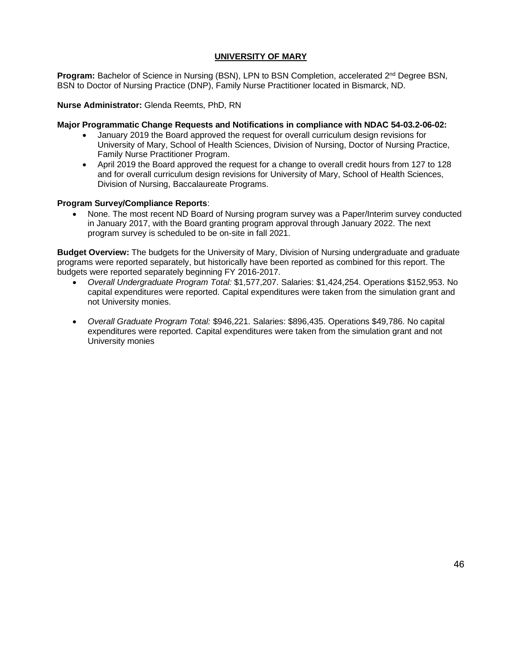### **UNIVERSITY OF MARY**

Program: Bachelor of Science in Nursing (BSN), LPN to BSN Completion, accelerated 2<sup>nd</sup> Degree BSN, BSN to Doctor of Nursing Practice (DNP), Family Nurse Practitioner located in Bismarck, ND.

**Nurse Administrator:** Glenda Reemts, PhD, RN

#### **Major Programmatic Change Requests and Notifications in compliance with NDAC 54-03.2-06-02:**

- January 2019 the Board approved the request for overall curriculum design revisions for University of Mary, School of Health Sciences, Division of Nursing, Doctor of Nursing Practice, Family Nurse Practitioner Program.
- April 2019 the Board approved the request for a change to overall credit hours from 127 to 128 and for overall curriculum design revisions for University of Mary, School of Health Sciences, Division of Nursing, Baccalaureate Programs.

#### **Program Survey/Compliance Reports**:

• None. The most recent ND Board of Nursing program survey was a Paper/Interim survey conducted in January 2017, with the Board granting program approval through January 2022. The next program survey is scheduled to be on-site in fall 2021.

**Budget Overview:** The budgets for the University of Mary, Division of Nursing undergraduate and graduate programs were reported separately, but historically have been reported as combined for this report. The budgets were reported separately beginning FY 2016-2017.

- *Overall Undergraduate Program Total:* \$1,577,207. Salaries: \$1,424,254. Operations \$152,953. No capital expenditures were reported. Capital expenditures were taken from the simulation grant and not University monies.
- *Overall Graduate Program Total:* \$946,221. Salaries: \$896,435. Operations \$49,786. No capital expenditures were reported. Capital expenditures were taken from the simulation grant and not University monies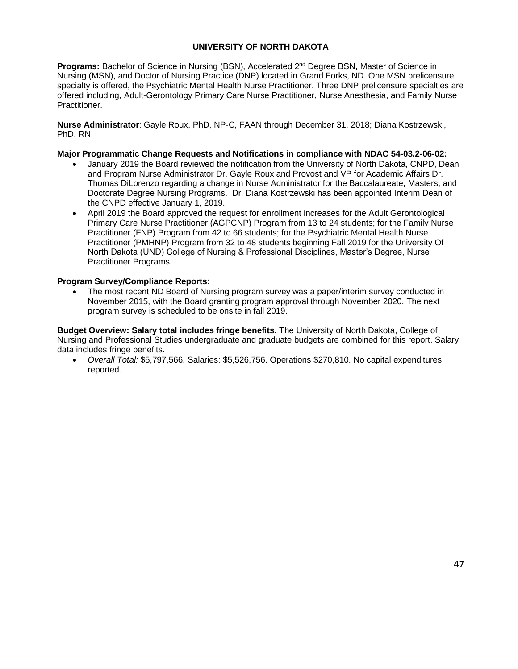### **UNIVERSITY OF NORTH DAKOTA**

**Programs:** Bachelor of Science in Nursing (BSN), Accelerated 2nd Degree BSN, Master of Science in Nursing (MSN), and Doctor of Nursing Practice (DNP) located in Grand Forks, ND. One MSN prelicensure specialty is offered, the Psychiatric Mental Health Nurse Practitioner. Three DNP prelicensure specialties are offered including, Adult-Gerontology Primary Care Nurse Practitioner, Nurse Anesthesia, and Family Nurse Practitioner.

**Nurse Administrator**: Gayle Roux, PhD, NP-C, FAAN through December 31, 2018; Diana Kostrzewski, PhD, RN

#### **Major Programmatic Change Requests and Notifications in compliance with NDAC 54-03.2-06-02:**

- January 2019 the Board reviewed the notification from the University of North Dakota, CNPD, Dean and Program Nurse Administrator Dr. Gayle Roux and Provost and VP for Academic Affairs Dr. Thomas DiLorenzo regarding a change in Nurse Administrator for the Baccalaureate, Masters, and Doctorate Degree Nursing Programs. Dr. Diana Kostrzewski has been appointed Interim Dean of the CNPD effective January 1, 2019.
- April 2019 the Board approved the request for enrollment increases for the Adult Gerontological Primary Care Nurse Practitioner (AGPCNP) Program from 13 to 24 students; for the Family Nurse Practitioner (FNP) Program from 42 to 66 students; for the Psychiatric Mental Health Nurse Practitioner (PMHNP) Program from 32 to 48 students beginning Fall 2019 for the University Of North Dakota (UND) College of Nursing & Professional Disciplines, Master's Degree, Nurse Practitioner Programs.

### **Program Survey/Compliance Reports**:

• The most recent ND Board of Nursing program survey was a paper/interim survey conducted in November 2015, with the Board granting program approval through November 2020. The next program survey is scheduled to be onsite in fall 2019.

**Budget Overview: Salary total includes fringe benefits.** The University of North Dakota, College of Nursing and Professional Studies undergraduate and graduate budgets are combined for this report. Salary data includes fringe benefits.

• *Overall Total:* \$5,797,566. Salaries: \$5,526,756. Operations \$270,810. No capital expenditures reported.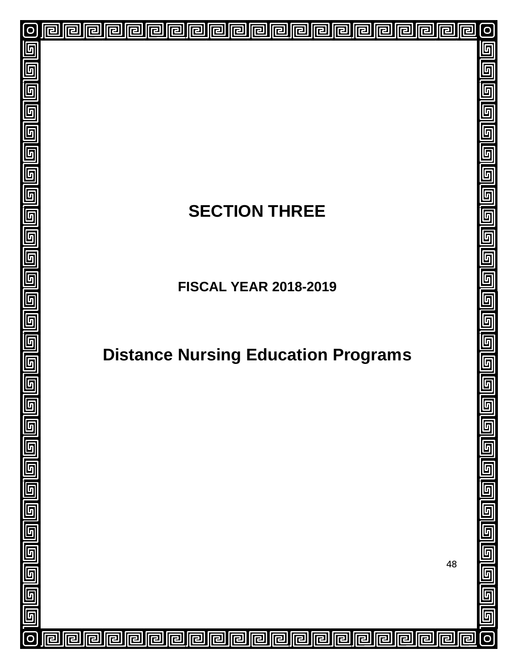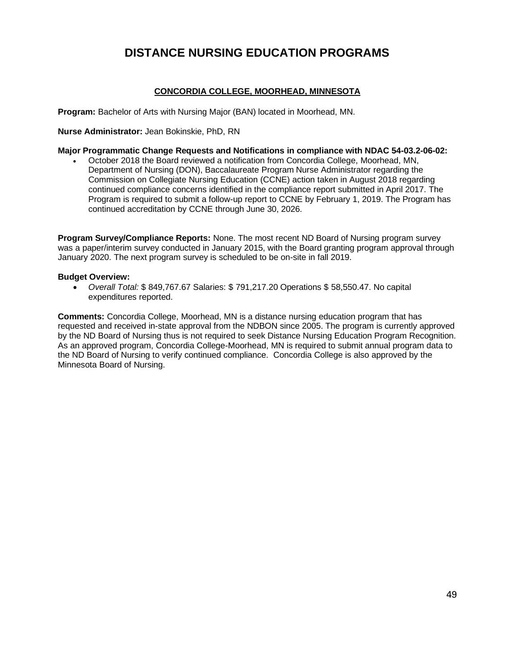### **DISTANCE NURSING EDUCATION PROGRAMS**

### **CONCORDIA COLLEGE, MOORHEAD, MINNESOTA**

**Program:** Bachelor of Arts with Nursing Major (BAN) located in Moorhead, MN.

**Nurse Administrator:** Jean Bokinskie, PhD, RN

#### **Major Programmatic Change Requests and Notifications in compliance with NDAC 54-03.2-06-02:**

• October 2018 the Board reviewed a notification from Concordia College, Moorhead, MN, Department of Nursing (DON), Baccalaureate Program Nurse Administrator regarding the Commission on Collegiate Nursing Education (CCNE) action taken in August 2018 regarding continued compliance concerns identified in the compliance report submitted in April 2017. The Program is required to submit a follow-up report to CCNE by February 1, 2019. The Program has continued accreditation by CCNE through June 30, 2026.

**Program Survey/Compliance Reports:** None. The most recent ND Board of Nursing program survey was a paper/interim survey conducted in January 2015, with the Board granting program approval through January 2020. The next program survey is scheduled to be on-site in fall 2019.

#### **Budget Overview:**

• *Overall Total:* \$ 849,767.67 Salaries: \$ 791,217.20 Operations \$ 58,550.47. No capital expenditures reported.

**Comments:** Concordia College, Moorhead, MN is a distance nursing education program that has requested and received in-state approval from the NDBON since 2005. The program is currently approved by the ND Board of Nursing thus is not required to seek Distance Nursing Education Program Recognition. As an approved program, Concordia College-Moorhead, MN is required to submit annual program data to the ND Board of Nursing to verify continued compliance. Concordia College is also approved by the Minnesota Board of Nursing.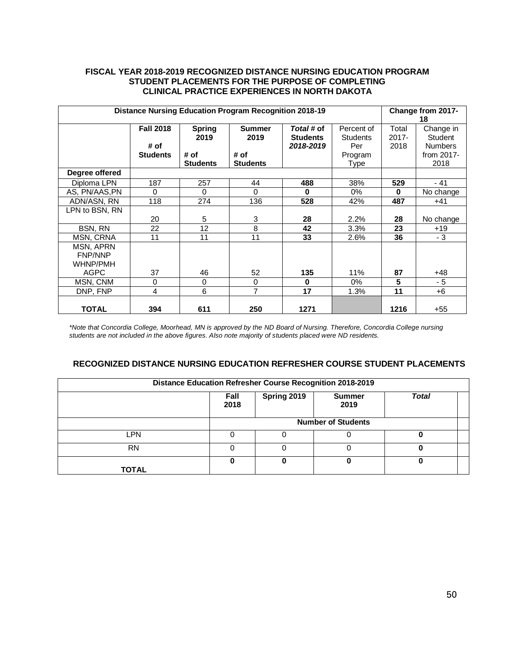#### **FISCAL YEAR 2018-2019 RECOGNIZED DISTANCE NURSING EDUCATION PROGRAM STUDENT PLACEMENTS FOR THE PURPOSE OF COMPLETING CLINICAL PRACTICE EXPERIENCES IN NORTH DAKOTA**

| <b>Distance Nursing Education Program Recognition 2018-19</b> |                  |                 |                 |                 |                 | Change from 2017-<br>18 |                |
|---------------------------------------------------------------|------------------|-----------------|-----------------|-----------------|-----------------|-------------------------|----------------|
|                                                               | <b>Fall 2018</b> | <b>Spring</b>   | <b>Summer</b>   | Total# of       | Percent of      | Total                   | Change in      |
|                                                               |                  | 2019            | 2019            | <b>Students</b> | <b>Students</b> | $2017 -$                | Student        |
|                                                               | # of             |                 |                 | 2018-2019       | Per             | 2018                    | <b>Numbers</b> |
|                                                               | <b>Students</b>  | # of            | # of            |                 | Program         |                         | from 2017-     |
|                                                               |                  | <b>Students</b> | <b>Students</b> |                 | Type            |                         | 2018           |
| Degree offered                                                |                  |                 |                 |                 |                 |                         |                |
| Diploma LPN                                                   | 187              | 257             | 44              | 488             | 38%             | 529                     | - 41           |
| AS, PN/AAS, PN                                                | $\Omega$         | $\Omega$        | 0               | $\bf{0}$        | 0%              | $\bf{0}$                | No change      |
| ADN/ASN, RN                                                   | 118              | 274             | 136             | 528             | 42%             | 487                     | +41            |
| LPN to BSN, RN                                                |                  |                 |                 |                 |                 |                         |                |
|                                                               | 20               | 5               | 3               | 28              | 2.2%            | 28                      | No change      |
| BSN, RN                                                       | 22               | 12              | 8               | 42              | 3.3%            | 23                      | $+19$          |
| MSN, CRNA                                                     | 11               | 11              | 11              | 33              | 2.6%            | 36                      | - 3            |
| MSN, APRN                                                     |                  |                 |                 |                 |                 |                         |                |
| <b>FNP/NNP</b>                                                |                  |                 |                 |                 |                 |                         |                |
| WHNP/PMH                                                      |                  |                 |                 |                 |                 |                         |                |
| <b>AGPC</b>                                                   | 37               | 46              | 52              | 135             | 11%             | 87                      | $+48$          |
| MSN, CNM                                                      | 0                | $\Omega$        | $\mathbf 0$     | $\bf{0}$        | 0%              | 5                       | $-5$           |
| DNP. FNP                                                      | 4                | 6               | $\overline{7}$  | 17              | 1.3%            | 11                      | $+6$           |
|                                                               |                  |                 |                 |                 |                 |                         |                |
| <b>TOTAL</b>                                                  | 394              | 611             | 250             | 1271            |                 | 1216                    | $+55$          |

*\*Note that Concordia College, Moorhead, MN is approved by the ND Board of Nursing. Therefore, Concordia College nursing students are not included in the above figures. Also note majority of students placed were ND residents.* 

### **RECOGNIZED DISTANCE NURSING EDUCATION REFRESHER COURSE STUDENT PLACEMENTS**

| <b>Distance Education Refresher Course Recognition 2018-2019</b> |                           |             |                       |              |  |  |
|------------------------------------------------------------------|---------------------------|-------------|-----------------------|--------------|--|--|
|                                                                  | Fall<br>2018              | Spring 2019 | <b>Summer</b><br>2019 | <b>Total</b> |  |  |
|                                                                  | <b>Number of Students</b> |             |                       |              |  |  |
| .PN                                                              |                           |             |                       |              |  |  |
| <b>RN</b>                                                        |                           |             |                       | 0            |  |  |
| <b>TOTAL</b>                                                     | 0                         |             |                       |              |  |  |